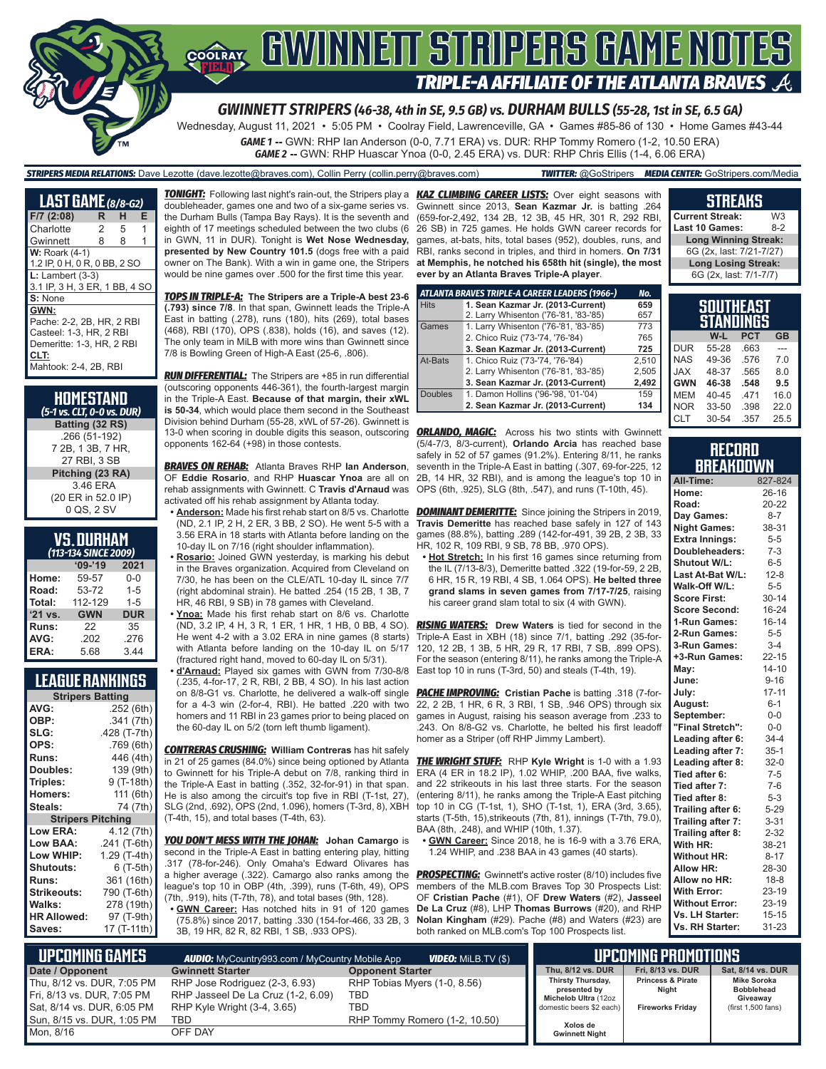

## **COORAY GWINNEIT STRIPERS GAME NOTES TRIPLE-A AFFILIATE OF THE ATLANTA BRAVES**

*GWINNETT STRIPERS (46-38, 4th in SE, 9.5 GB) vs. DURHAM BULLS (55-28, 1st in SE, 6.5 GA)*

Wednesday, August 11, 2021 • 5:05 PM • Coolray Field, Lawrenceville, GA • Games #85-86 of 130 • Home Games #43-44

*GAME 1* **--** GWN: RHP Ian Anderson (0-0, 7.71 ERA) vs. DUR: RHP Tommy Romero (1-2, 10.50 ERA) *GAME 2* **--** GWN: RHP Huascar Ynoa (0-0, 2.45 ERA) vs. DUR: RHP Chris Ellis (1-4, 6.06 ERA)

*STRIPERS MEDIA RELATIONS:* Dave Lezotte (dave.lezotte@braves.com), Collin Perry (collin.perry@braves.com) *TWITTER:* @GoStripers *MEDIA CENTER:* GoStripers.com/Media

| <b>LAST GAME</b> (8/8-G2)                                                                                                  |   |   |   |
|----------------------------------------------------------------------------------------------------------------------------|---|---|---|
| $F/7$ (2:08)                                                                                                               | R | н | Е |
| Charlotte                                                                                                                  | 2 | 5 | 1 |
| Gwinnett                                                                                                                   | 8 | 8 |   |
| <b>W: Roark (4-1)</b><br>1.2 IP, 0 H, 0 R, 0 BB, 2 SO                                                                      |   |   |   |
| $L:$ Lambert $(3-3)$<br>3.1 IP, 3 H, 3 ER, 1 BB, 4 SO<br>S: None                                                           |   |   |   |
| GWN:<br>Pache: 2-2, 2B, HR, 2 RBI<br>Casteel: 1-3. HR. 2 RBI<br>Demeritte: 1-3, HR, 2 RBI<br>CLT:<br>Mahtook: 2-4, 2B, RBI |   |   |   |

| <b>HOMESTAND</b><br>(5-1 vs. CLT, 0-0 vs. DUR) |
|------------------------------------------------|
| Batting (32 RS)                                |
| .266 (51-192)                                  |
| 7 2B, 1 3B, 7 HR,                              |
| 27 RBI. 3 SB                                   |
| Pitching (23 RA)                               |
| 3.46 ERA                                       |
| (20 ER in 52.0 IP)                             |
| 0 QS, 2 SV                                     |

## **VS. DURHAM**

| (113-134 SINCE 2009) |            |            |  |  |  |
|----------------------|------------|------------|--|--|--|
|                      | $'09-'19$  | 2021       |  |  |  |
| Home:                | 59-57      | $0 - 0$    |  |  |  |
| Road:                | 53-72      | $1 - 5$    |  |  |  |
| Total:               | 112-129    | $1 - 5$    |  |  |  |
| '21 vs.              | <b>GWN</b> | <b>DUR</b> |  |  |  |
| Runs:                | 22         | 35         |  |  |  |
| AVG:                 | .202       | .276       |  |  |  |
| ERA:                 | 5.68       | 3.44       |  |  |  |

### **LEAGUE RANKINGS**

| <b>Stripers Batting</b>  |              |  |  |  |  |
|--------------------------|--------------|--|--|--|--|
| AVG:                     | .252 (6th)   |  |  |  |  |
| OBP:                     | .341 (7th)   |  |  |  |  |
| SLG:                     | .428 (T-7th) |  |  |  |  |
| OPS:                     | .769 (6th)   |  |  |  |  |
| Runs:                    | 446 (4th)    |  |  |  |  |
| Doubles:                 | 139 (9th)    |  |  |  |  |
| Triples:                 | 9 (T-18th)   |  |  |  |  |
| <b>Homers:</b>           | 111 (6th)    |  |  |  |  |
| Steals:                  | 74 (7th)     |  |  |  |  |
| <b>Stripers Pitching</b> |              |  |  |  |  |
| <b>Low ERA:</b>          | 4.12 (7th)   |  |  |  |  |
| Low BAA:                 | .241 (T-6th) |  |  |  |  |
| Low WHIP:                | 1.29 (T-4th) |  |  |  |  |
| <b>Shutouts:</b>         | $6(T-5th)$   |  |  |  |  |
| Runs:                    | 361 (16th)   |  |  |  |  |
| <b>Strikeouts:</b>       | 790 (T-6th)  |  |  |  |  |
| Walks:                   | 278 (19th)   |  |  |  |  |
| <b>HR Allowed:</b>       | 97 (T-9th)   |  |  |  |  |
| Saves:                   | 17 (T-11th)  |  |  |  |  |

doubleheader, games one and two of a six-game series vs. the Durham Bulls (Tampa Bay Rays). It is the seventh and eighth of 17 meetings scheduled between the two clubs (6 in GWN, 11 in DUR). Tonight is **Wet Nose Wednesday, presented by New Country 101.5** (dogs free with a paid would be nine games over .500 for the first time this year.

*TOPS IN TRIPLE-A:* **The Stripers are a Triple-A best 23-6 (.793) since 7/8**. In that span, Gwinnett leads the Triple-A East in batting (.278), runs (180), hits (269), total bases (468), RBI (170), OPS (.838), holds (16), and saves (12). The only team in MiLB with more wins than Gwinnett since 7/8 is Bowling Green of High-A East (25-6, .806).

*RUN DIFFERENTIAL:* The Stripers are +85 in run differential (outscoring opponents 446-361), the fourth-largest margin in the Triple-A East. **Because of that margin, their xWL is 50-34**, which would place them second in the Southeast Division behind Durham (55-28, xWL of 57-26). Gwinnett is 13-0 when scoring in double digits this season, outscoring *ORLANDO, MAGIC:* Across his two stints with Gwinnett opponents 162-64 (+98) in those contests.

*BRAVES ON REHAB:* Atlanta Braves RHP **Ian Anderson**, OF **Eddie Rosario**, and RHP **Huascar Ynoa** are all on rehab assignments with Gwinnett. C **Travis d'Arnaud** was OPS (6th, .925), SLG (8th, .547), and runs (T-10th, 45). activated off his rehab assignment by Atlanta today.

- **• Anderson:** Made his first rehab start on 8/5 vs. Charlotte (ND, 2.1 IP, 2 H, 2 ER, 3 BB, 2 SO). He went 5-5 with a 3.56 ERA in 18 starts with Atlanta before landing on the 10-day IL on 7/16 (right shoulder inflammation).
- **• Rosario:** Joined GWN yesterday, is marking his debut in the Braves organization. Acquired from Cleveland on 7/30, he has been on the CLE/ATL 10-day IL since 7/7 (right abdominal strain). He batted .254 (15 2B, 1 3B, 7 HR, 46 RBI, 9 SB) in 78 games with Cleveland.
- **• Ynoa:** Made his first rehab start on 8/6 vs. Charlotte (ND, 3.2 IP, 4 H, 3 R, 1 ER, 1 HR, 1 HB, 0 BB, 4 SO). He went 4-2 with a 3.02 ERA in nine games (8 starts) with Atlanta before landing on the 10-day IL on 5/17 (fractured right hand, moved to 60-day IL on 5/31).
- **• d'Arnaud:** Played six games with GWN from 7/30-8/8 (.235, 4-for-17, 2 R, RBI, 2 BB, 4 SO). In his last action on 8/8-G1 vs. Charlotte, he delivered a walk-off single for a 4-3 win (2-for-4, RBI). He batted .220 with two homers and 11 RBI in 23 games prior to being placed on the 60-day IL on 5/2 (torn left thumb ligament).

*CONTRERAS CRUSHING:* **William Contreras** has hit safely in 21 of 25 games (84.0%) since being optioned by Atlanta to Gwinnett for his Triple-A debut on 7/8, ranking third in the Triple-A East in batting (.352, 32-for-91) in that span. He is also among the circuit's top five in RBI (T-1st, 27), SLG (2nd, .692), OPS (2nd, 1.096), homers (T-3rd, 8), XBH (T-4th, 15), and total bases (T-4th, 63).

*YOU DON'T MESS WITH THE JOHAN:* **Johan Camargo** is second in the Triple-A East in batting entering play, hitting .317 (78-for-246). Only Omaha's Edward Olivares has a higher average (.322). Camargo also ranks among the league's top 10 in OBP (4th, .399), runs (T-6th, 49), OPS (7th, .919), hits (T-7th, 78), and total bases (9th, 128). **• GWN Career:** Has notched hits in 91 of 120 games

(75.8%) since 2017, batting .330 (154-for-466, 33 2B, 3 3B, 19 HR, 82 R, 82 RBI, 1 SB, .933 OPS).

*TONIGHT:* Following last night's rain-out, the Stripers play a *KAZ CLIMBING CAREER LISTS:* Over eight seasons with owner on The Bank). With a win in game one, the Stripers **at Memphis, he notched his 658th hit (single), the most**  Gwinnett since 2013, **Sean Kazmar Jr.** is batting .264 (659-for-2,492, 134 2B, 12 3B, 45 HR, 301 R, 292 RBI, 26 SB) in 725 games. He holds GWN career records for games, at-bats, hits, total bases (952), doubles, runs, and RBI, ranks second in triples, and third in homers. **On 7/31 ever by an Atlanta Braves Triple-A player**.

|                | ATLANTA BRAVES TRIPLE-A CAREER LEADERS (1966-) | No.   |
|----------------|------------------------------------------------|-------|
| <b>Hits</b>    | 1. Sean Kazmar Jr. (2013-Current)              | 659   |
|                | 2. Larry Whisenton ('76-'81, '83-'85)          | 657   |
| Games          | 1. Larry Whisenton ('76-'81, '83-'85)          | 773   |
|                | 2. Chico Ruiz ('73-'74, '76-'84)               | 765   |
|                | 3. Sean Kazmar Jr. (2013-Current)              | 725   |
| At-Bats        | 1. Chico Ruiz ('73-'74, '76-'84)               | 2,510 |
|                | 2. Larry Whisenton ('76-'81, '83-'85)          | 2.505 |
|                | 3. Sean Kazmar Jr. (2013-Current)              | 2,492 |
| <b>Doubles</b> | 1. Damon Hollins ('96-'98, '01-'04)            | 159   |
|                | 2. Sean Kazmar Jr. (2013-Current)              | 134   |

(5/4-7/3, 8/3-current), **Orlando Arcia** has reached base safely in 52 of 57 games (91.2%). Entering 8/11, he ranks seventh in the Triple-A East in batting (.307, 69-for-225, 12 2B, 14 HR, 32 RBI), and is among the league's top 10 in

**DOMINANT DEMERITTE:** Since joining the Stripers in 2019, **Travis Demeritte** has reached base safely in 127 of 143 games (88.8%), batting .289 (142-for-491, 39 2B, 2 3B, 33 HR, 102 R, 109 RBI, 9 SB, 78 BB, .970 OPS).

**• Hot Stretch:** In his first 16 games since returning from the IL (7/13-8/3), Demeritte batted .322 (19-for-59, 2 2B, 6 HR, 15 R, 19 RBI, 4 SB, 1.064 OPS). **He belted three grand slams in seven games from 7/17-7/25**, raising his career grand slam total to six (4 with GWN).

*RISING WATERS:* **Drew Waters** is tied for second in the Triple-A East in XBH (18) since 7/1, batting .292 (35-for-120, 12 2B, 1 3B, 5 HR, 29 R, 17 RBI, 7 SB, .899 OPS). For the season (entering 8/11), he ranks among the Triple-A East top 10 in runs (T-3rd, 50) and steals (T-4th, 19).

*PACHE IMPROVING:* **Cristian Pache** is batting .318 (7-for-22, 2 2B, 1 HR, 6 R, 3 RBI, 1 SB, .946 OPS) through six games in August, raising his season average from .233 to .243. On 8/8-G2 vs. Charlotte, he belted his first leadoff homer as a Striper (off RHP Jimmy Lambert).

*THE WRIGHT STUFF:* RHP **Kyle Wright** is 1-0 with a 1.93 ERA (4 ER in 18.2 IP), 1.02 WHIP, .200 BAA, five walks, and 22 strikeouts in his last three starts. For the season (entering 8/11), he ranks among the Triple-A East pitching top 10 in CG (T-1st, 1), SHO (T-1st, 1), ERA (3rd, 3.65), starts (T-5th, 15),strikeouts (7th, 81), innings (T-7th, 79.0), BAA (8th, .248), and WHIP (10th, 1.37).

**• GWN Career:** Since 2018, he is 16-9 with a 3.76 ERA, 1.24 WHIP, and .238 BAA in 43 games (40 starts).

**PROSPECTING:** Gwinnett's active roster (8/10) includes five members of the MLB.com Braves Top 30 Prospects List: OF **Cristian Pache** (#1), OF **Drew Waters** (#2), **Jasseel De La Cruz** (#8), LHP **Thomas Burrows** (#20), and RHP **Nolan Kingham** (#29). Pache (#8) and Waters (#23) are both ranked on MLB.com's Top 100 Prospects list.

| <b>Current Streak:</b>      | WЗ    |
|-----------------------------|-------|
| Last 10 Games:              | $8-2$ |
| <b>Long Winning Streak:</b> |       |
| 6G (2x, last: 7/21-7/27)    |       |
| <b>Long Losing Streak:</b>  |       |
| 6G (2x, last: 7/1-7/7)      |       |
|                             |       |

**STREAKS**

| SOUTHEAST<br>STANDINGS |       |            |           |  |  |
|------------------------|-------|------------|-----------|--|--|
|                        | W-L   | <b>PCT</b> | <b>GB</b> |  |  |
| <b>DUR</b>             | 55-28 | .663       |           |  |  |
| <b>NAS</b>             | 49-36 | .576       | 7.0       |  |  |
| <b>XAL</b>             | 48-37 | .565       | 80        |  |  |
| <b>GWN</b>             | 46-38 | .548       | 9.5       |  |  |
| <b>MEM</b>             | 40-45 | .471       | 16.0      |  |  |
| <b>NOR</b>             | 33-50 | .398       | 22.0      |  |  |
| <b>CLT</b>             | 30-54 | .357       | 25.5      |  |  |

#### **RECORD BREAKDOWN**

| All-Time:             | 827-824   |
|-----------------------|-----------|
| Home:                 | $26 - 16$ |
| Road:                 | 20-22     |
| Day Games:            | $8 - 7$   |
| <b>Night Games:</b>   | 38-31     |
| <b>Extra Innings:</b> | $5 - 5$   |
| Doubleheaders:        | $7-3$     |
| Shutout W/L:          | $6 - 5$   |
| Last At-Bat W/L:      | $12 - 8$  |
| Walk-Off W/L:         | $5 - 5$   |
| <b>Score First:</b>   | $30 - 14$ |
| <b>Score Second:</b>  | 16-24     |
| 1-Run Games:          | $16 - 14$ |
| 2-Run Games:          | $5 - 5$   |
| 3-Run Games:          | $3 - 4$   |
| +3-Run Games:         | $22 - 15$ |
| May:                  | $14 - 10$ |
| June:                 | $9 - 16$  |
| July:                 | $17 - 11$ |
| August:               | $6 - 1$   |
| September:            | $0-0$     |
| "Final Stretch":      | $0-0$     |
| Leading after 6:      | $34 - 4$  |
| Leading after 7:      | $35-1$    |
| Leading after 8:      | $32-0$    |
| Tied after 6:         | $7-5$     |
| Tied after 7:         | $7-6$     |
| Tied after 8:         | $5 - 3$   |
| Trailing after 6:     | $5 - 29$  |
| Trailing after 7:     | $3 - 31$  |
| Trailing after 8:     | $2 - 32$  |
| With HR:              | 38-21     |
| <b>Without HR:</b>    | $8 - 17$  |
| <b>Allow HR:</b>      | 28-30     |
| Allow no HR:          | $18 - 8$  |
| <b>With Error:</b>    | 23-19     |
| <b>Without Error:</b> | 23-19     |
| Vs. LH Starter:       | $15 - 15$ |
| Vs. RH Starter:       | 31-23     |

| L UPCOMING GAMES I<br><b>VIDEO:</b> MiLB.TV (\$)<br><b>AUDIO:</b> MyCountry993.com / MyCountry Mobile App |                                                                      |                                     |                                                           | <b>UPCOMING PROMOTIONS .</b>          |                                                     |
|-----------------------------------------------------------------------------------------------------------|----------------------------------------------------------------------|-------------------------------------|-----------------------------------------------------------|---------------------------------------|-----------------------------------------------------|
| Date / Opponent                                                                                           | <b>Gwinnett Starter</b>                                              | <b>Opponent Starter</b>             | Thu. 8/12 vs. DUR                                         | Fri. 8/13 vs. DUR                     | Sat, 8/14 vs. DUR                                   |
| Thu, 8/12 vs. DUR, 7:05 PM<br>Fri, 8/13 vs. DUR, 7:05 PM                                                  | RHP Jose Rodriguez (2-3, 6.93)<br>RHP Jasseel De La Cruz (1-2, 6.09) | RHP Tobias Myers (1-0, 8.56)<br>TBD | Thirsty Thursday,<br>presented by<br>Michelob Ultra (12oz | <b>Princess &amp; Pirate</b><br>Night | <b>Mike Soroka</b><br><b>Bobblehead</b><br>Giveaway |
| Sat, 8/14 vs. DUR, 6:05 PM                                                                                | RHP Kyle Wright (3-4, 3.65)                                          | TBD                                 | domestic beers \$2 each)                                  | <b>Fireworks Friday</b>               | (first 1,500 fans)                                  |
| Sun, 8/15 vs. DUR, 1:05 PM                                                                                | TBD                                                                  | RHP Tommy Romero (1-2, 10.50)       | Xolos de                                                  |                                       |                                                     |
| Mon. 8/16                                                                                                 | OFF DAY                                                              |                                     | <b>Gwinnett Night</b>                                     |                                       |                                                     |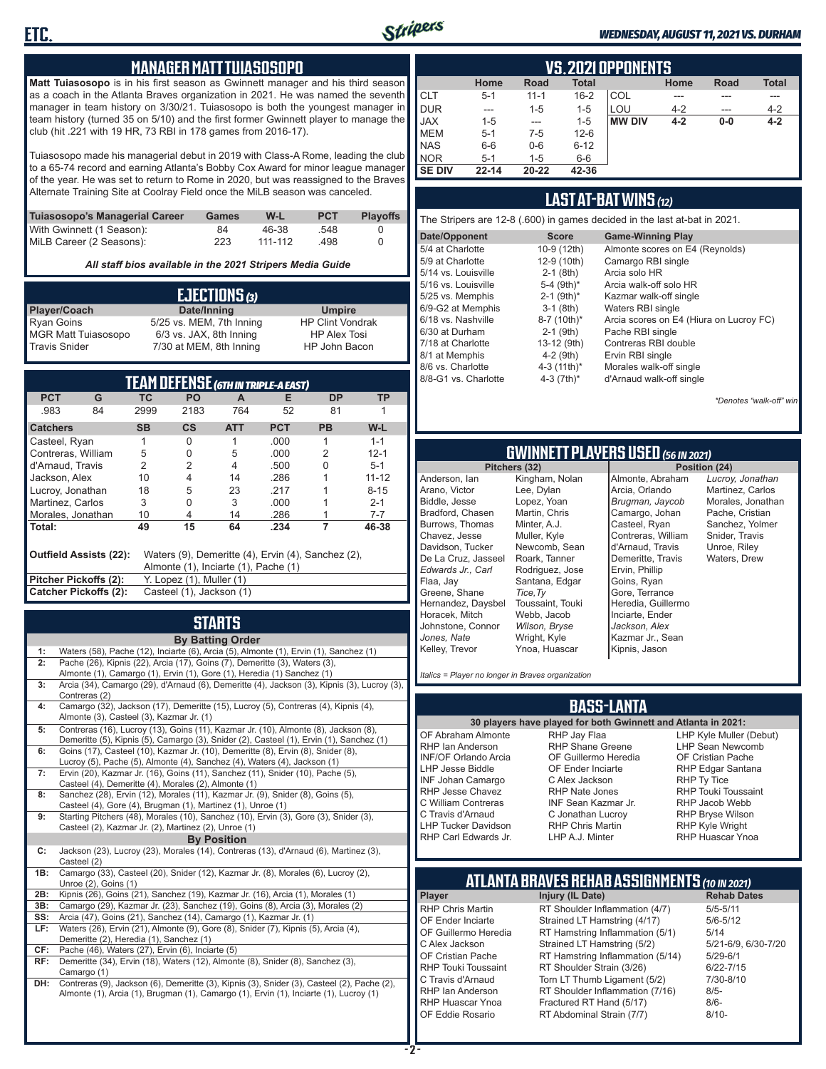

#### *WEDNESDAY, AUGUST 11, 2021 VS. DURHAM*

#### **MANAGER MATT TUIASOSOPO**

**Matt Tuiasosopo** is in his first season as Gwinnett manager and his third season as a coach in the Atlanta Braves organization in 2021. He was named the seventh manager in team history on 3/30/21. Tuiasosopo is both the youngest manager in team history (turned 35 on 5/10) and the first former Gwinnett player to manage the club (hit .221 with 19 HR, 73 RBI in 178 games from 2016-17).

Tuiasosopo made his managerial debut in 2019 with Class-A Rome, leading the club to a 65-74 record and earning Atlanta's Bobby Cox Award for minor league manager of the year. He was set to return to Rome in 2020, but was reassigned to the Braves Alternate Training Site at Coolray Field once the MiLB season was canceled.

| Tuiasosopo's Managerial Career | Games | W-L     | <b>PCT</b> | <b>Plavoffs</b> |
|--------------------------------|-------|---------|------------|-----------------|
| With Gwinnett (1 Season):      | 84    | 46-38   | .548       |                 |
| MiLB Career (2 Seasons):       | 223   | 111-112 | .498       |                 |

*All staff bios available in the 2021 Stripers Media Guide*

| EJECTIONS (3)              |                          |                         |  |  |
|----------------------------|--------------------------|-------------------------|--|--|
| Player/Coach               | Date/Inning              | <b>Umpire</b>           |  |  |
| <b>Ryan Goins</b>          | 5/25 vs. MEM, 7th Inning | <b>HP Clint Vondrak</b> |  |  |
| <b>MGR Matt Tuiasosopo</b> | 6/3 vs. JAX, 8th Inning  | <b>HP Alex Tosi</b>     |  |  |
| Travis Snider              | 7/30 at MEM, 8th Inning  | HP John Bacon           |  |  |

| TEAM DEFENSE (GTH IN TRIPLE-A EAST)                                                                                  |                                                   |                          |               |            |            |           |           |
|----------------------------------------------------------------------------------------------------------------------|---------------------------------------------------|--------------------------|---------------|------------|------------|-----------|-----------|
| <b>PCT</b>                                                                                                           | G                                                 | ТC                       | <b>PO</b>     | A          | Е          | <b>DP</b> | ΤP        |
| .983                                                                                                                 | 84                                                | 2999                     | 2183          | 764        | 52         | 81        |           |
| <b>Catchers</b>                                                                                                      |                                                   | <b>SB</b>                | $\mathsf{cs}$ | <b>ATT</b> | <b>PCT</b> | <b>PB</b> | W-L       |
| Casteel, Ryan                                                                                                        |                                                   |                          | O             |            | .000.      |           | $1 - 1$   |
| Contreras, William                                                                                                   |                                                   | 5                        | 0             | 5          | .000       | 2         | $12 - 1$  |
| d'Arnaud, Travis                                                                                                     |                                                   | $\overline{2}$           | 2             | 4          | .500       | U         | $5 - 1$   |
| Jackson, Alex                                                                                                        |                                                   | 10                       | 4             | 14         | .286       |           | $11 - 12$ |
| Lucroy, Jonathan                                                                                                     |                                                   | 18                       | 5             | 23         | .217       |           | $8 - 15$  |
| Martinez, Carlos                                                                                                     |                                                   | 3                        | 0             | 3          | .000       |           | $2 - 1$   |
| Morales, Jonathan                                                                                                    |                                                   | 10                       | 4             | 14         | .286       |           | $7 - 7$   |
| Total:                                                                                                               |                                                   | 49                       | 15            | 64         | .234       | 7         | 46-38     |
| Outfield Assists (22):<br>Waters (9), Demeritte (4), Ervin (4), Sanchez (2),<br>Almonte (1), Inciarte (1), Pache (1) |                                                   |                          |               |            |            |           |           |
| Pitcher Pickoffs (2):                                                                                                |                                                   | Y. Lopez (1), Muller (1) |               |            |            |           |           |
|                                                                                                                      | Catcher Pickoffs (2):<br>Casteel (1), Jackson (1) |                          |               |            |            |           |           |

## **STARTS**

|     | <b>By Batting Order</b>                                                                          |
|-----|--------------------------------------------------------------------------------------------------|
| 1:  | Waters (58), Pache (12), Inciarte (6), Arcia (5), Almonte (1), Ervin (1), Sanchez (1)            |
| 2:  | Pache (26), Kipnis (22), Arcia (17), Goins (7), Demeritte (3), Waters (3),                       |
|     | Almonte (1), Camargo (1), Ervin (1), Gore (1), Heredia (1) Sanchez (1)                           |
| 3:  | Arcia (34), Camargo (29), d'Arnaud (6), Demeritte (4), Jackson (3), Kipnis (3), Lucroy (3),      |
|     | Contreras (2)                                                                                    |
| 4:  | Camargo (32), Jackson (17), Demeritte (15), Lucroy (5), Contreras (4), Kipnis (4),               |
|     | Almonte (3), Casteel (3), Kazmar Jr. (1)                                                         |
| 5:  | Contreras (16), Lucroy (13), Goins (11), Kazmar Jr. (10), Almonte (8), Jackson (8),              |
|     | Demeritte (5), Kipnis (5), Camargo (3), Snider (2), Casteel (1), Ervin (1), Sanchez (1)          |
| 6:  | Goins (17), Casteel (10), Kazmar Jr. (10), Demeritte (8), Ervin (8), Snider (8),                 |
|     | Lucroy (5), Pache (5), Almonte (4), Sanchez (4), Waters (4), Jackson (1)                         |
| 7:  | Ervin (20), Kazmar Jr. (16), Goins (11), Sanchez (11), Snider (10), Pache (5),                   |
|     | Casteel (4), Demeritte (4), Morales (2), Almonte (1)                                             |
| 8:  | Sanchez (28), Ervin (12), Morales (11), Kazmar Jr. (9), Snider (8), Goins (5),                   |
|     | Casteel (4), Gore (4), Brugman (1), Martinez (1), Unroe (1)                                      |
| 9:  | Starting Pitchers (48), Morales (10), Sanchez (10), Ervin (3), Gore (3), Snider (3),             |
|     | Casteel (2), Kazmar Jr. (2), Martinez (2), Unroe (1)                                             |
|     | <b>By Position</b>                                                                               |
| C:  | Jackson (23), Lucroy (23), Morales (14), Contreras (13), d'Arnaud (6), Martinez (3),             |
|     | Casteel (2)<br>Camargo (33), Casteel (20), Snider (12), Kazmar Jr. (8), Morales (6), Lucroy (2), |
| 1B: | Unroe (2), Goins (1)                                                                             |
| 2B: | Kipnis (26), Goins (21), Sanchez (19), Kazmar Jr. (16), Arcia (1), Morales (1)                   |
| 3B: | Camargo (29), Kazmar Jr. (23), Sanchez (19), Goins (8), Arcia (3), Morales (2)                   |
| SS: | Arcia (47), Goins (21), Sanchez (14), Camargo (1), Kazmar Jr. (1)                                |
| LF: | Waters (26), Ervin (21), Almonte (9), Gore (8), Snider (7), Kipnis (5), Arcia (4),               |
|     | Demeritte (2), Heredia (1), Sanchez (1)                                                          |
| CF: | Pache (46), Waters (27), Ervin (6), Inciarte (5)                                                 |
| RF: | Demeritte (34), Ervin (18), Waters (12), Almonte (8), Snider (8), Sanchez (3),                   |
|     | Camargo (1)                                                                                      |
| DH: | Contreras (9), Jackson (6), Demeritte (3), Kipnis (3), Snider (3), Casteel (2), Pache (2),       |
|     | Almonte (1), Arcia (1), Brugman (1), Camargo (1), Ervin (1), Inciarte (1), Lucroy (1)            |
|     |                                                                                                  |
|     |                                                                                                  |
|     |                                                                                                  |

|               | <b>VS. 2021 OPPONENTS</b> |             |              |               |         |             |              |  |  |  |  |  |  |  |
|---------------|---------------------------|-------------|--------------|---------------|---------|-------------|--------------|--|--|--|--|--|--|--|
|               | Home                      | <b>Road</b> | <b>Total</b> |               | Home    | <b>Road</b> | <b>Total</b> |  |  |  |  |  |  |  |
| <b>CLT</b>    | $5 - 1$                   | $11 - 1$    | $16 - 2$     | COL           | ---     |             | ---          |  |  |  |  |  |  |  |
| <b>DUR</b>    | ---                       | $1 - 5$     | $1 - 5$      | LOU           | $4 - 2$ | ---         | $4 - 2$      |  |  |  |  |  |  |  |
| <b>JAX</b>    | 1-5                       | $- - -$     | $1 - 5$      | <b>MW DIV</b> | $4 - 2$ | $0-0$       | $4 - 2$      |  |  |  |  |  |  |  |
| <b>MEM</b>    | $5 - 1$                   | 7-5         | $12-6$       |               |         |             |              |  |  |  |  |  |  |  |
| <b>NAS</b>    | $6-6$                     | $0-6$       | $6 - 12$     |               |         |             |              |  |  |  |  |  |  |  |
| <b>NOR</b>    | $5 - 1$                   | 1-5         | $6-6$        |               |         |             |              |  |  |  |  |  |  |  |
| <b>SE DIV</b> | $22 - 14$                 | $20 - 22$   | 42-36        |               |         |             |              |  |  |  |  |  |  |  |

#### **LAST AT-BAT WINS** *(12)*

|                                                                                                                                                                                                                                                         |                                                                                                                                                                                                      | The Stripers are 12-8 (.600) in games decided in the last at-bat in 2021.                                                                                                                                                                                                                                         |
|---------------------------------------------------------------------------------------------------------------------------------------------------------------------------------------------------------------------------------------------------------|------------------------------------------------------------------------------------------------------------------------------------------------------------------------------------------------------|-------------------------------------------------------------------------------------------------------------------------------------------------------------------------------------------------------------------------------------------------------------------------------------------------------------------|
| Date/Opponent                                                                                                                                                                                                                                           | <b>Score</b>                                                                                                                                                                                         | <b>Game-Winning Play</b>                                                                                                                                                                                                                                                                                          |
| 5/4 at Charlotte<br>5/9 at Charlotte<br>5/14 vs. Louisville<br>5/16 vs. Louisville<br>5/25 vs. Memphis<br>6/9-G2 at Memphis<br>6/18 vs. Nashville<br>6/30 at Durham<br>7/18 at Charlotte<br>8/1 at Memphis<br>8/6 vs. Charlotte<br>8/8-G1 vs. Charlotte | 10-9 (12th)<br>12-9 (10th)<br>$2-1$ (8th)<br>5-4 $(9th)^*$<br>$2-1$ (9th) <sup>*</sup><br>$3-1$ (8th)<br>8-7 (10th)*<br>$2-1$ (9th)<br>13-12 (9th)<br>$4-2$ (9th)<br>4-3 $(11th)^*$<br>4-3 $(7th)^*$ | Almonte scores on E4 (Reynolds)<br>Camargo RBI single<br>Arcia solo HR<br>Arcia walk-off solo HR<br>Kazmar walk-off single<br>Waters RBI single<br>Arcia scores on E4 (Hiura on Lucroy FC)<br>Pache RBI single<br>Contreras RBI double<br>Ervin RBI single<br>Morales walk-off single<br>d'Arnaud walk-off single |
|                                                                                                                                                                                                                                                         |                                                                                                                                                                                                      |                                                                                                                                                                                                                                                                                                                   |

*\*Denotes "walk-off" win*

## **GWINNETT PLAYERS USED** *(56 IN 2021)*

**Pitchers (32)** Anderson, Ian Arano, Victor Biddle, Jesse Bradford, Chasen Burrows, Thomas Chavez, Jesse Davidson, Tucker De La Cruz, Jasseel *Edwards Jr., Carl* Flaa, Jay Greene, Shane Hernandez, Daysbel Horacek, Mitch Johnstone, Connor *Jones, Nate* Kelley, Trevor Kingham, Nolan Lee, Dylan Lopez, Yoan Martin, Chris Minter, A.J. Muller, Kyle Newcomb, Sean Roark, Tanner Rodriguez, Jose Santana, Edgar *Tice,Ty* Toussaint, Touki Webb, Jacob *Wilson, Bryse* Wright, Kyle Ynoa, Huascar

Almonte, Abraham Arcia, Orlando *Brugman, Jaycob* Camargo, Johan Casteel, Ryan Contreras, William d'Arnaud, Travis Demeritte, Travis Ervin, Phillip Goins, Ryan Gore, Terrance Heredia, Guillermo Inciarte, Ender *Jackson, Alex* Kazmar Jr., Sean Kipnis, Jason

*Lucroy, Jonathan* Martinez, Carlos Morales, Jonathan Pache, Cristian Sanchez, Yolmer Snider, Travis Unroe, Riley Waters, Drew

*Italics = Player no longer in Braves organization*

#### **BASS-LANTA**

OF Abraham Almonte RHP Ian Anderson INF/OF Orlando Arcia LHP Jesse Biddle INF Johan Camargo RHP Jesse Chavez C William Contreras C Travis d'Arnaud LHP Tucker Davidson RHP Carl Edwards Jr.

**30 players have played for both Gwinnett and Atlanta in 2021:** RHP Jay Flaa RHP Shane Greene OF Guillermo Heredia OF Ender Inciarte C Alex Jackson RHP Nate Jones INF Sean Kazmar Jr. C Jonathan Lucroy RHP Chris Martin LHP A.J. Minter

LHP Kyle Muller (Debut) LHP Sean Newcomb OF Cristian Pache RHP Edgar Santana RHP Ty Tice RHP Touki Toussaint RHP Jacob Webb RHP Bryse Wilson RHP Kyle Wright RHP Huascar Ynoa

## **ATLANTA BRAVES REHAB ASSIGNMENTS** *(10 IN 2021)*

**Player Injury (IL Date)** 

RHP Chris Martin RT Shoulder Inflammation (4/7) 5/5-5/11<br>CF Ender Inciarte Strained I T Hamstring (4/17) 5/6-5/12 OF Ender Inciarte Strained LT Hamstring (4/17) 5/6-5<br>OF Guillermo Heredia RT Hamstring Inflammation (5/1) 5/14 OF Guillermo Heredia RT Hamstring Inflammation (5/1) 5/14<br>C Alex Jackson Strained LT Hamstring (5/2) 5/21-6/9, 6/30-7/20 C Alex Jackson Strained LT Hamstring (5/2) 5/21-6/9<br>CF Cristian Pache RT Hamstring Inflammation (5/14) 5/29-6/1 OF Cristian Pache RT Hamstring Inflammation (5/14)<br>RHP Touki Toussaint RT Shoulder Strain (3/26) RHP Touki Toussaint RT Shoulder Strain (3/26) 6/22-7/15<br>C Travis d'Arnaud Torn LT Thumb Ligament (5/2) 7/30-8/10 C Travis d'Arnaud Torn LT Thumb Ligament (5/2) 7/30<br>RHP Ian Anderson RT Shoulder Inflammation (7/16) 8/5-RHP Ian Anderson RT Shoulder Inflammation (7/16) 8/5-<br>RHP Huascar Ynoa Fractured RT Hand (5/17) 8/6-RHP Huascar Ynoa Fractured RT Hand (5/17) 8/6- RT Abdominal Strain (7/7)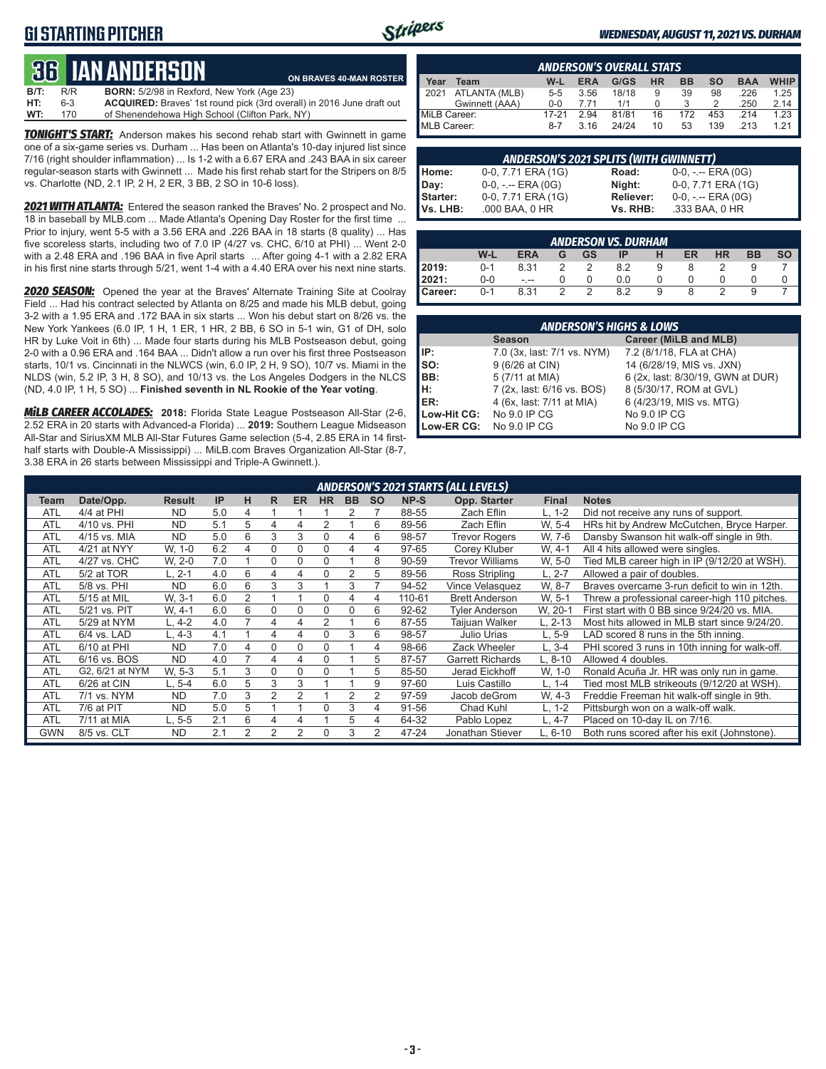### **G1 STARTING PITCHER**



**BRAVES 40-MAN ROSTER** 

#### *WEDNESDAY, AUGUST 11, 2021 VS. DURHAM*

# **36****IAN ANDERSON**

| ___  |     |                                                                       |
|------|-----|-----------------------------------------------------------------------|
| B/T: | R/R | <b>BORN:</b> 5/2/98 in Rexford, New York (Age 23)                     |
| HT:  | 6-3 | ACQUIRED: Braves' 1st round pick (3rd overall) in 2016 June draft out |
| WT:  | 170 | of Shenendehowa High School (Clifton Park, NY)                        |

*TONIGHT'S START:* Anderson makes his second rehab start with Gwinnett in game one of a six-game series vs. Durham ... Has been on Atlanta's 10-day injured list since 7/16 (right shoulder inflammation) ... Is 1-2 with a 6.67 ERA and .243 BAA in six career regular-season starts with Gwinnett ... Made his first rehab start for the Stripers on 8/5 vs. Charlotte (ND, 2.1 IP, 2 H, 2 ER, 3 BB, 2 SO in 10-6 loss).

*2021 WITH ATLANTA:* Entered the season ranked the Braves' No. 2 prospect and No. 18 in baseball by MLB.com ... Made Atlanta's Opening Day Roster for the first time ... Prior to injury, went 5-5 with a 3.56 ERA and .226 BAA in 18 starts (8 quality) ... Has five scoreless starts, including two of 7.0 IP (4/27 vs. CHC, 6/10 at PHI) ... Went 2-0 with a 2.48 ERA and .196 BAA in five April starts ... After going 4-1 with a 2.82 ERA in his first nine starts through 5/21, went 1-4 with a 4.40 ERA over his next nine starts.

*2020 SEASON:* Opened the year at the Braves' Alternate Training Site at Coolray Field ... Had his contract selected by Atlanta on 8/25 and made his MLB debut, going 3-2 with a 1.95 ERA and .172 BAA in six starts ... Won his debut start on 8/26 vs. the New York Yankees (6.0 IP, 1 H, 1 ER, 1 HR, 2 BB, 6 SO in 5-1 win, G1 of DH, solo HR by Luke Voit in 6th) ... Made four starts during his MLB Postseason debut, going 2-0 with a 0.96 ERA and .164 BAA ... Didn't allow a run over his first three Postseason starts, 10/1 vs. Cincinnati in the NLWCS (win, 6.0 IP, 2 H, 9 SO), 10/7 vs. Miami in the NLDS (win, 5.2 IP, 3 H, 8 SO), and 10/13 vs. the Los Angeles Dodgers in the NLCS (ND, 4.0 IP, 1 H, 5 SO) ... **Finished seventh in NL Rookie of the Year voting**.

*MiLB CAREER ACCOLADES:* **2018:** Florida State League Postseason All-Star (2-6, 2.52 ERA in 20 starts with Advanced-a Florida) ... **2019:** Southern League Midseason All-Star and SiriusXM MLB All-Star Futures Game selection (5-4, 2.85 ERA in 14 firsthalf starts with Double-A Mississippi) ... MiLB.com Braves Organization All-Star (8-7, 3.38 ERA in 26 starts between Mississippi and Triple-A Gwinnett.).

|              | <b>ANDERSON'S OVERALL STATS</b> |         |            |       |           |           |     |            |             |  |  |  |  |
|--------------|---------------------------------|---------|------------|-------|-----------|-----------|-----|------------|-------------|--|--|--|--|
| Year         | Team                            | $W-L$   | <b>ERA</b> | G/GS  | <b>HR</b> | <b>BB</b> | so  | <b>BAA</b> | <b>WHIP</b> |  |  |  |  |
| 12021        | ATLANTA (MLB)                   | $5 - 5$ | 3.56       | 18/18 | 9         | 39        | 98  | .226       | 1.25        |  |  |  |  |
|              | Gwinnett (AAA)                  | $0 - 0$ | 7.71       | 1/1   |           |           |     | .250       | 2.14        |  |  |  |  |
| MiLB Career: |                                 | 17-21   | 2.94       | 81/81 | 16        | 172       | 453 | 214        | 1.23        |  |  |  |  |
| MLB Career:  |                                 | $8-7$   | 3.16       | 24/24 | 10        | 53        | 139 | 213        | 1 21        |  |  |  |  |

|          | <b>ANDERSON'S 2021 SPLITS (WITH GWINNETT)</b> |           |                       |
|----------|-----------------------------------------------|-----------|-----------------------|
| Home:    | 0-0, 7.71 ERA (1G)                            | Road:     | $0-0, - -$ ERA $(0G)$ |
| Day:     | $0-0, - -$ ERA $(0G)$                         | Night:    | 0-0, 7.71 ERA (1G)    |
| Starter: | 0-0, 7.71 ERA (1G)                            | Reliever: | $0-0, - -$ ERA $(0G)$ |
| Vs. LHB: | .000 BAA, 0 HR                                | Vs. RHB:  | .333 BAA, 0 HR        |

| <b>ANDERSON VS. DURHAM</b>                                                           |         |      |               |               |     |   |  |   |  |  |  |  |  |
|--------------------------------------------------------------------------------------|---------|------|---------------|---------------|-----|---|--|---|--|--|--|--|--|
| W-L<br><b>SO</b><br><b>ERA</b><br><b>BB</b><br>GS<br>ER<br><b>HR</b><br>ΙP<br>н<br>G |         |      |               |               |     |   |  |   |  |  |  |  |  |
| 2019:                                                                                | $0 - 1$ | 8.31 |               | 2             | 82  | 9 |  |   |  |  |  |  |  |
| 2021:                                                                                | $0-0$   | $ -$ |               |               | 0.0 |   |  |   |  |  |  |  |  |
| Career:                                                                              | $0 - 1$ | 8.31 | $\mathcal{P}$ | $\mathcal{P}$ | 82  | 9 |  | っ |  |  |  |  |  |

|             | <b>ANDERSON'S HIGHS &amp; LOWS</b> |                                   |  |  |  |  |  |  |  |  |  |
|-------------|------------------------------------|-----------------------------------|--|--|--|--|--|--|--|--|--|
|             | <b>Season</b>                      | Career (MiLB and MLB)             |  |  |  |  |  |  |  |  |  |
| IP:         | 7.0 (3x, last: 7/1 vs. NYM)        | 7.2 (8/1/18, FLA at CHA)          |  |  |  |  |  |  |  |  |  |
| so:         | 9 (6/26 at CIN)                    | 14 (6/28/19, MIS vs. JXN)         |  |  |  |  |  |  |  |  |  |
| BB:         | 5 (7/11 at MIA)                    | 6 (2x, last: 8/30/19, GWN at DUR) |  |  |  |  |  |  |  |  |  |
| H:          | 7 (2x, last: 6/16 vs. BOS)         | 8 (5/30/17, ROM at GVL)           |  |  |  |  |  |  |  |  |  |
| <b>IER:</b> | 4 (6x, last: 7/11 at MIA)          | 6 (4/23/19, MIS vs. MTG)          |  |  |  |  |  |  |  |  |  |
| Low-Hit CG: | No 9.0 IP CG                       | No 9.0 IP CG                      |  |  |  |  |  |  |  |  |  |
| Low-ER CG:  | No 9.0 IP CG                       | No 9.0 IP CG                      |  |  |  |  |  |  |  |  |  |

|            |                 |               |     |   |          |           |                |           |           |           | <b>ANDERSON'S 2021 STARTS (ALL LEVELS)</b> |              |                                                |
|------------|-----------------|---------------|-----|---|----------|-----------|----------------|-----------|-----------|-----------|--------------------------------------------|--------------|------------------------------------------------|
| Team       | Date/Opp.       | <b>Result</b> | IP  | н | R.       | <b>ER</b> | <b>HR</b>      | <b>BB</b> | <b>SO</b> | NP-S      | Opp. Starter                               | <b>Final</b> | <b>Notes</b>                                   |
| ATL        | 4/4 at PHI      | <b>ND</b>     | 5.0 | 4 |          |           |                |           |           | 88-55     | Zach Eflin                                 | $L. 1-2$     | Did not receive any runs of support.           |
| <b>ATL</b> | 4/10 vs. PHI    | <b>ND</b>     | 5.1 | 5 | 4        | 4         | $\overline{2}$ |           | 6         | 89-56     | Zach Eflin                                 | W. 5-4       | HRs hit by Andrew McCutchen, Bryce Harper.     |
| <b>ATL</b> | 4/15 vs. MIA    | <b>ND</b>     | 5.0 | 6 | 3        | 3         | $\Omega$       | 4         | 6         | 98-57     | <b>Trevor Rogers</b>                       | W. 7-6       | Dansby Swanson hit walk-off single in 9th.     |
| <b>ATL</b> | 4/21 at NYY     | W. 1-0        | 6.2 | 4 | 0        | 0         | $\Omega$       | 4         | 4         | 97-65     | Corey Kluber                               | W. 4-1       | All 4 hits allowed were singles.               |
| <b>ATL</b> | 4/27 vs. CHC    | W. 2-0        | 7.0 |   | 0        | 0         | $\Omega$       |           | 8         | 90-59     | <b>Trevor Williams</b>                     | W. 5-0       | Tied MLB career high in IP (9/12/20 at WSH).   |
| <b>ATL</b> | 5/2 at TOR      | L. 2-1        | 4.0 | 6 | 4        | 4         | 0              | 2         | 5         | 89-56     | Ross Stripling                             | $L. 2 - 7$   | Allowed a pair of doubles.                     |
| <b>ATL</b> | 5/8 vs. PHI     | <b>ND</b>     | 6.0 | 6 | 3        | 3         |                | 3         |           | 94-52     | Vince Velasquez                            | W. 8-7       | Braves overcame 3-run deficit to win in 12th.  |
| <b>ATL</b> | 5/15 at MIL     | W. 3-1        | 6.0 | 2 |          |           | $\Omega$       | 4         | 4         | 110-61    | <b>Brett Anderson</b>                      | W. 5-1       | Threw a professional career-high 110 pitches.  |
| <b>ATL</b> | 5/21 vs. PIT    | W. 4-1        | 6.0 | 6 | 0        | 0         | 0              | 0         | 6         | $92 - 62$ | Tyler Anderson                             | W. 20-1      | First start with 0 BB since 9/24/20 vs. MIA.   |
| <b>ATL</b> | 5/29 at NYM     | L. 4-2        | 4.0 |   | 4        | 4         | 2              |           | 6         | 87-55     | Taijuan Walker                             | L. 2-13      | Most hits allowed in MLB start since 9/24/20.  |
| <b>ATL</b> | 6/4 vs. LAD     | L. 4-3        | 4.1 |   | 4        | 4         | $\Omega$       | 3         | 6         | 98-57     | Julio Urias                                | $L, 5-9$     | LAD scored 8 runs in the 5th inning.           |
| <b>ATL</b> | 6/10 at PHI     | <b>ND</b>     | 7.0 | 4 | $\Omega$ | 0         | 0              |           | 4         | 98-66     | Zack Wheeler                               | L, 3-4       | PHI scored 3 runs in 10th inning for walk-off. |
| <b>ATL</b> | 6/16 vs. BOS    | <b>ND</b>     | 4.0 |   | 4        | 4         | $\Omega$       |           | 5         | 87-57     | <b>Garrett Richards</b>                    | L. 8-10      | Allowed 4 doubles.                             |
| <b>ATL</b> | G2, 6/21 at NYM | W. 5-3        | 5.1 | 3 | 0        | 0         | $\Omega$       |           | 5         | 85-50     | Jerad Eickhoff                             | W, 1-0       | Ronald Acuña Jr. HR was only run in game.      |
| <b>ATL</b> | 6/26 at CIN     | L. 5-4        | 6.0 | 5 | 3        | 3         |                |           | 9         | 97-60     | Luis Castillo                              | L. 1-4       | Tied most MLB strikeouts (9/12/20 at WSH).     |
| <b>ATL</b> | 7/1 vs. NYM     | <b>ND</b>     | 7.0 | 3 | 2        | 2         |                | 2         | 2         | 97-59     | Jacob deGrom                               | W, 4-3       | Freddie Freeman hit walk-off single in 9th.    |
| <b>ATL</b> | 7/6 at PIT      | <b>ND</b>     | 5.0 | 5 |          |           | $\Omega$       | 3         | 4         | 91-56     | Chad Kuhl                                  | $L. 1-2$     | Pittsburgh won on a walk-off walk.             |
| <b>ATL</b> | 7/11 at MIA     | L. 5-5        | 2.1 | 6 | 4        | 4         |                | 5         | 4         | 64-32     | Pablo Lopez                                | L. 4-7       | Placed on 10-day IL on 7/16.                   |
| <b>GWN</b> | 8/5 vs. CLT     | <b>ND</b>     | 2.1 | 2 | 2        | 2         |                | 3         | 2         | 47-24     | Jonathan Stiever                           | L. 6-10      | Both runs scored after his exit (Johnstone).   |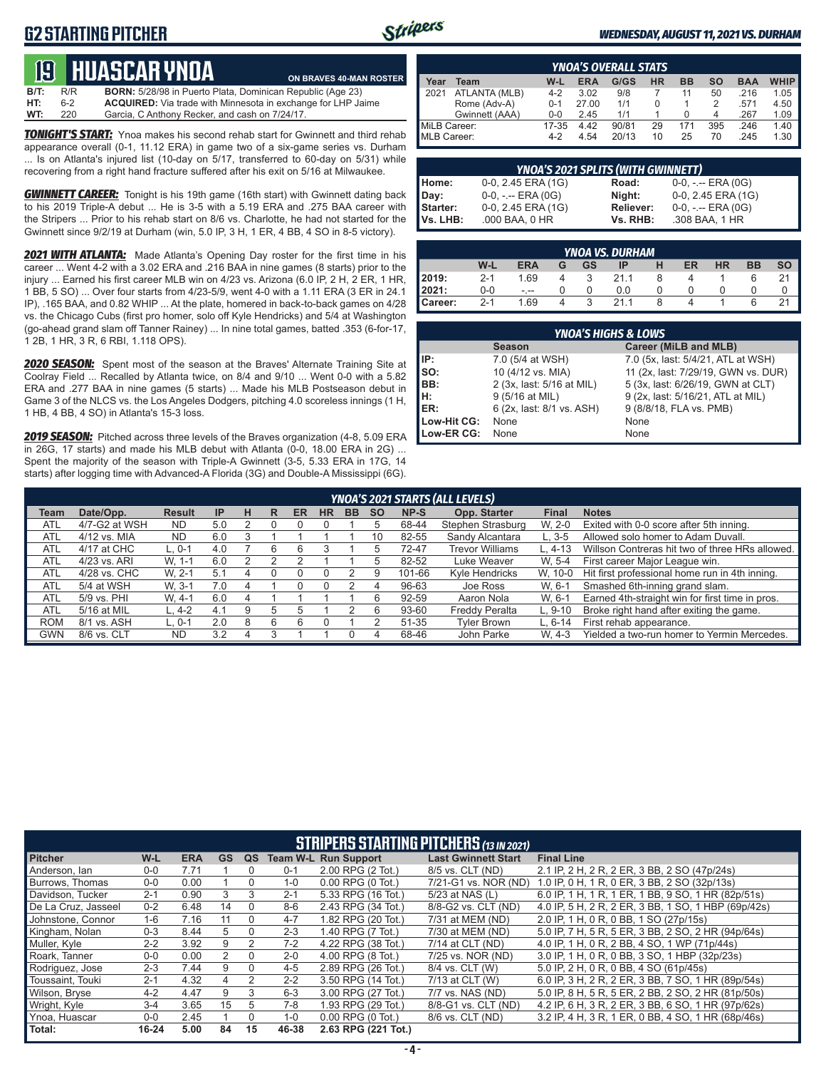### **G2 STARTING PITCHER**



#### *WEDNESDAY, AUGUST 11, 2021 VS. DURHAM*

## **19****huascar ynoa**

**B/T:** R/R **BORN:** 5/28/98 in Puerto Plata, Dominican Republic (Age 23)<br>**HT:** 6-2 **ACQUIRED:** Via trade with Minnesota in exchange for LHP Ja 6-2 **ACQUIRED:** Via trade with Minnesota in exchange for LHP Jaime<br>220 Garcia, C Anthony Recker, and cash on 7/24/17. **WT:** 220 Garcia, C Anthony Recker, and cash on 7/24/17. **ON BRAVES 40-MAN ROSTER**

*TONIGHT'S START:* Ynoa makes his second rehab start for Gwinnett and third rehab appearance overall (0-1, 11.12 ERA) in game two of a six-game series vs. Durham ... Is on Atlanta's injured list (10-day on 5/17, transferred to 60-day on 5/31) while recovering from a right hand fracture suffered after his exit on 5/16 at Milwaukee.

**GWINNETT CAREER:** Tonight is his 19th game (16th start) with Gwinnett dating back to his 2019 Triple-A debut ... He is 3-5 with a 5.19 ERA and .275 BAA career with the Stripers ... Prior to his rehab start on 8/6 vs. Charlotte, he had not started for the Gwinnett since 9/2/19 at Durham (win, 5.0 IP, 3 H, 1 ER, 4 BB, 4 SO in 8-5 victory).

*2021 WITH ATLANTA:* Made Atlanta's Opening Day roster for the first time in his career ... Went 4-2 with a 3.02 ERA and .216 BAA in nine games (8 starts) prior to the injury ... Earned his first career MLB win on 4/23 vs. Arizona (6.0 IP, 2 H, 2 ER, 1 HR, 1 BB, 5 SO) ... Over four starts from 4/23-5/9, went 4-0 with a 1.11 ERA (3 ER in 24.1 IP), .165 BAA, and 0.82 WHIP ... At the plate, homered in back-to-back games on 4/28 vs. the Chicago Cubs (first pro homer, solo off Kyle Hendricks) and 5/4 at Washington (go-ahead grand slam off Tanner Rainey) ... In nine total games, batted .353 (6-for-17, 1 2B, 1 HR, 3 R, 6 RBI, 1.118 OPS).

*2020 SEASON:* Spent most of the season at the Braves' Alternate Training Site at Coolray Field ... Recalled by Atlanta twice, on 8/4 and 9/10 ... Went 0-0 with a 5.82 ERA and .277 BAA in nine games (5 starts) ... Made his MLB Postseason debut in Game 3 of the NLCS vs. the Los Angeles Dodgers, pitching 4.0 scoreless innings (1 H, 1 HB, 4 BB, 4 SO) in Atlanta's 15-3 loss.

*2019 SEASON:* Pitched across three levels of the Braves organization (4-8, 5.09 ERA in 26G, 17 starts) and made his MLB debut with Atlanta (0-0, 18.00 ERA in 2G) ... Spent the majority of the season with Triple-A Gwinnett (3-5, 5.33 ERA in 17G, 14 starts) after logging time with Advanced-A Florida (3G) and Double-A Mississippi (6G).

|              | <b>YNOA'S OVERALL STATS</b> |         |            |       |           |           |     |            |             |  |  |  |  |
|--------------|-----------------------------|---------|------------|-------|-----------|-----------|-----|------------|-------------|--|--|--|--|
| Year         | Геаm                        | W-L     | <b>ERA</b> | G/GS  | <b>HR</b> | <b>BB</b> | so  | <b>BAA</b> | <b>WHIP</b> |  |  |  |  |
| 2021         | ATLANTA (MLB)               | $4 - 2$ | 3.02       | 9/8   |           | 11        | 50  | .216       | 1.05        |  |  |  |  |
|              | Rome (Adv-A)                | $0 - 1$ | 27.00      | 1/1   |           |           | 2   | .571       | 4.50        |  |  |  |  |
|              | Gwinnett (AAA)              | $0 - 0$ | 2.45       | 1/1   |           |           | 4   | .267       | 1.09        |  |  |  |  |
| MiLB Career: |                             | 17-35   | 4.42       | 90/81 | 29        | 171       | 395 | .246       | 1.40        |  |  |  |  |
| MLB Career:  |                             | $4-2$   | 4.54       | 20/13 | 10        | 25        | 70  | .245       | 1.30        |  |  |  |  |

|          | <b>YNOA'S 2021 SPLITS (WITH GWINNETT)</b> |                  |                       |
|----------|-------------------------------------------|------------------|-----------------------|
| Home:    | 0-0, 2.45 ERA (1G)                        | Road:            | $0-0, - -$ ERA $(0G)$ |
| Day:     | $0-0, - -$ ERA $(0G)$                     | Night:           | 0-0, 2.45 ERA (1G)    |
| Starter: | 0-0, 2.45 ERA (1G)                        | <b>Reliever:</b> | $0-0, - -$ ERA $(0G)$ |
| Vs. LHB: | .000 BAA, 0 HR                            | Vs. RHB:         | .308 BAA, 1 HR        |

|         | <b>YNOA VS. DURHAM</b>                                       |      |  |   |      |  |  |  |  |  |  |  |  |  |
|---------|--------------------------------------------------------------|------|--|---|------|--|--|--|--|--|--|--|--|--|
|         | W-L<br><b>ERA</b><br><b>HR</b><br>GS<br>ER<br>BB<br>IP<br>SO |      |  |   |      |  |  |  |  |  |  |  |  |  |
| 2019:   | $2 - 1$                                                      | 1.69 |  |   | 21.1 |  |  |  |  |  |  |  |  |  |
| 2021:   | 0-0                                                          | --   |  |   | 0.0  |  |  |  |  |  |  |  |  |  |
| Career: | $2 - 1$                                                      | 1.69 |  | 2 | 211  |  |  |  |  |  |  |  |  |  |

| <b>YNOA'S HIGHS &amp; LOWS</b> |                           |                                     |  |  |  |  |  |  |  |  |  |
|--------------------------------|---------------------------|-------------------------------------|--|--|--|--|--|--|--|--|--|
|                                | <b>Season</b>             | Career (MiLB and MLB)               |  |  |  |  |  |  |  |  |  |
| IIP:                           | 7.0 (5/4 at WSH)          | 7.0 (5x, last: 5/4/21, ATL at WSH)  |  |  |  |  |  |  |  |  |  |
| so:                            | 10 (4/12 vs. MIA)         | 11 (2x, last: 7/29/19, GWN vs. DUR) |  |  |  |  |  |  |  |  |  |
| IBB:                           | 2 (3x, last: 5/16 at MIL) | 5 (3x, last: 6/26/19, GWN at CLT)   |  |  |  |  |  |  |  |  |  |
| H:                             | 9 (5/16 at MIL)           | 9 (2x, last: 5/16/21, ATL at MIL)   |  |  |  |  |  |  |  |  |  |
| <b>IER:</b>                    | 6 (2x, last: 8/1 vs. ASH) | 9 (8/8/18, FLA vs. PMB)             |  |  |  |  |  |  |  |  |  |
| Low-Hit CG:                    | None                      | None                                |  |  |  |  |  |  |  |  |  |
| Low-ER CG:                     | None                      | None                                |  |  |  |  |  |  |  |  |  |

|            | <b>YNOA'S 2021 STARTS (ALL LEVELS)</b> |               |                |   |   |    |    |           |           |        |                        |              |                                                 |  |
|------------|----------------------------------------|---------------|----------------|---|---|----|----|-----------|-----------|--------|------------------------|--------------|-------------------------------------------------|--|
| Team       | Date/Opp.                              | <b>Result</b> | ΙP             | н | R | ER | HR | <b>BB</b> | <b>SO</b> | NP-S   | Opp. Starter           | <b>Final</b> | <b>Notes</b>                                    |  |
| <b>ATL</b> | 4/7-G2 at WSH                          | <b>ND</b>     | 5.0            |   |   |    |    |           |           | 68-44  | Stephen Strasburg      | W. 2-0       | Exited with 0-0 score after 5th inning.         |  |
| <b>ATL</b> | 4/12 vs. MIA                           | <b>ND</b>     | 6.0            |   |   |    |    |           | 10        | 82-55  | Sandy Alcantara        | $L.3 - 5$    | Allowed solo homer to Adam Duvall.              |  |
| ATL        | 4/17 at CHC                            | L. 0-1        | 4 <sub>c</sub> |   |   | 6  |    |           |           | 72-47  | <b>Trevor Williams</b> | L. 4-13      | Willson Contreras hit two of three HRs allowed. |  |
| <b>ATL</b> | $4/23$ vs. ARI                         | W. 1-1        | 6.0            |   |   |    |    |           |           | 82-52  | Luke Weaver            | W. 5-4       | First career Major League win.                  |  |
| <b>ATL</b> | 4/28 vs. CHC                           | W. 2-1        | 5.1            |   |   |    |    |           |           | 101-66 | Kyle Hendricks         | W. 10-0      | Hit first professional home run in 4th inning.  |  |
| <b>ATL</b> | 5/4 at WSH                             | W. 3-1        | 7.0            |   |   |    |    |           |           | 96-63  | Joe Ross               | W. 6-1       | Smashed 6th-inning grand slam.                  |  |
| <b>ATL</b> | 5/9 vs. PHI                            | W. 4-1        | 6.0            |   |   |    |    |           |           | 92-59  | Aaron Nola             | W. 6-1       | Earned 4th-straight win for first time in pros. |  |
| ATL        | 5/16 at MIL                            | $L.4-2$       | 4.1            | 9 | 5 |    |    |           |           | 93-60  | <b>Freddy Peralta</b>  | $L.9-10$     | Broke right hand after exiting the game.        |  |
| <b>ROM</b> | 8/1 vs. ASH                            | $L. 0-1$      | 2.0            | 8 | 6 | 6  |    |           |           | 51-35  | <b>Tyler Brown</b>     | $L.6-14$     | First rehab appearance.                         |  |
| <b>GWN</b> | 8/6 vs. CLT                            | ND            | 3.2            |   |   |    |    |           |           | 68-46  | John Parke             | W. 4-3       | Yielded a two-run homer to Yermin Mercedes.     |  |

| <b>STRIPERS STARTING PITCHERS (13 IN 2021)</b> |                                                                                                                                                |            |    |          |         |                             |                            |                                                    |  |  |  |  |  |  |
|------------------------------------------------|------------------------------------------------------------------------------------------------------------------------------------------------|------------|----|----------|---------|-----------------------------|----------------------------|----------------------------------------------------|--|--|--|--|--|--|
| <b>Pitcher</b>                                 | W-L                                                                                                                                            | <b>ERA</b> | GS | QS       |         | <b>Team W-L Run Support</b> | <b>Last Gwinnett Start</b> | <b>Final Line</b>                                  |  |  |  |  |  |  |
| Anderson, Ian                                  | $0 - 0$                                                                                                                                        | 7.71       |    |          | $0 - 1$ | 2.00 RPG (2 Tot.)           | 8/5 vs. CLT (ND)           | 2.1 IP, 2 H, 2 R, 2 ER, 3 BB, 2 SO (47p/24s)       |  |  |  |  |  |  |
| Burrows, Thomas                                | $0 - 0$                                                                                                                                        | 0.00       |    | 0        | $1 - 0$ | $0.00$ RPG $(0$ Tot.)       | 7/21-G1 vs. NOR (ND)       | 1.0 IP, 0 H, 1 R, 0 ER, 3 BB, 2 SO (32p/13s)       |  |  |  |  |  |  |
| Davidson, Tucker                               | $2 - 1$                                                                                                                                        | 0.90       | 3  | 3        | $2 - 1$ | 5.33 RPG (16 Tot.)          | 5/23 at NAS (L)            | 6.0 IP, 1 H, 1 R, 1 ER, 1 BB, 9 SO, 1 HR (82p/51s) |  |  |  |  |  |  |
| De La Cruz, Jasseel                            | 2.43 RPG (34 Tot.)<br>8/8-G2 vs. CLT (ND)<br>4.0 IP, 5 H, 2 R, 2 ER, 3 BB, 1 SO, 1 HBP (69p/42s)<br>$0 - 2$<br>14<br>$8-6$<br>6.48<br>$\Omega$ |            |    |          |         |                             |                            |                                                    |  |  |  |  |  |  |
| Johnstone, Connor                              | $1 - 6$                                                                                                                                        | 7.16       | 11 | $\Omega$ | $4 - 7$ | 1.82 RPG (20 Tot.)          | 7/31 at MEM (ND)           | 2.0 IP, 1 H, 0 R, 0 BB, 1 SO (27p/15s)             |  |  |  |  |  |  |
| Kingham, Nolan                                 | $0 - 3$                                                                                                                                        | 8.44       | 5  | $\Omega$ | $2 - 3$ | 1.40 RPG (7 Tot.)           | 7/30 at MEM (ND)           | 5.0 IP, 7 H, 5 R, 5 ER, 3 BB, 2 SO, 2 HR (94p/64s) |  |  |  |  |  |  |
| Muller, Kyle                                   | $2 - 2$                                                                                                                                        | 3.92       | 9  |          | $7-2$   | 4.22 RPG (38 Tot.)          | $7/14$ at CLT (ND)         | 4.0 IP, 1 H, 0 R, 2 BB, 4 SO, 1 WP (71p/44s)       |  |  |  |  |  |  |
| Roark, Tanner                                  | $0 - 0$                                                                                                                                        | 0.00       |    |          | $2 - 0$ | 4.00 RPG (8 Tot.)           | 7/25 vs. NOR (ND)          | 3.0 IP, 1 H, 0 R, 0 BB, 3 SO, 1 HBP (32p/23s)      |  |  |  |  |  |  |
| Rodriguez, Jose                                | $2 - 3$                                                                                                                                        | 7.44       | 9  | $\Omega$ | $4 - 5$ | 2.89 RPG (26 Tot.)          | 8/4 vs. CLT (W)            | 5.0 IP, 2 H, 0 R, 0 BB, 4 SO (61p/45s)             |  |  |  |  |  |  |
| Toussaint. Touki                               | $2 - 1$                                                                                                                                        | 4.32       | 4  | 2        | $2 - 2$ | 3.50 RPG (14 Tot.)          | 7/13 at CLT (W)            | 6.0 IP, 3 H, 2 R, 2 ER, 3 BB, 7 SO, 1 HR (89p/54s) |  |  |  |  |  |  |
| Wilson, Bryse                                  | $4 - 2$                                                                                                                                        | 4.47       | 9  | 3        | $6 - 3$ | 3.00 RPG (27 Tot.)          | 7/7 vs. NAS (ND)           | 5.0 IP, 8 H, 5 R, 5 ER, 2 BB, 2 SO, 2 HR (81p/50s) |  |  |  |  |  |  |
| Wright, Kyle                                   | $3 - 4$                                                                                                                                        | 3.65       | 15 | 5        | $7-8$   | 1.93 RPG (29 Tot.)          | 8/8-G1 vs. CLT (ND)        | 4.2 IP, 6 H, 3 R, 2 ER, 3 BB, 6 SO, 1 HR (97p/62s) |  |  |  |  |  |  |
| Ynoa, Huascar                                  | $0 - 0$                                                                                                                                        | 2.45       |    |          | $1 - 0$ | $0.00$ RPG $(0$ Tot.)       | 8/6 vs. CLT (ND)           | 3.2 IP, 4 H, 3 R, 1 ER, 0 BB, 4 SO, 1 HR (68p/46s) |  |  |  |  |  |  |
| Total:                                         | $16-24$                                                                                                                                        | 5.00       | 84 | 15       | 46-38   | 2.63 RPG (221 Tot.)         |                            |                                                    |  |  |  |  |  |  |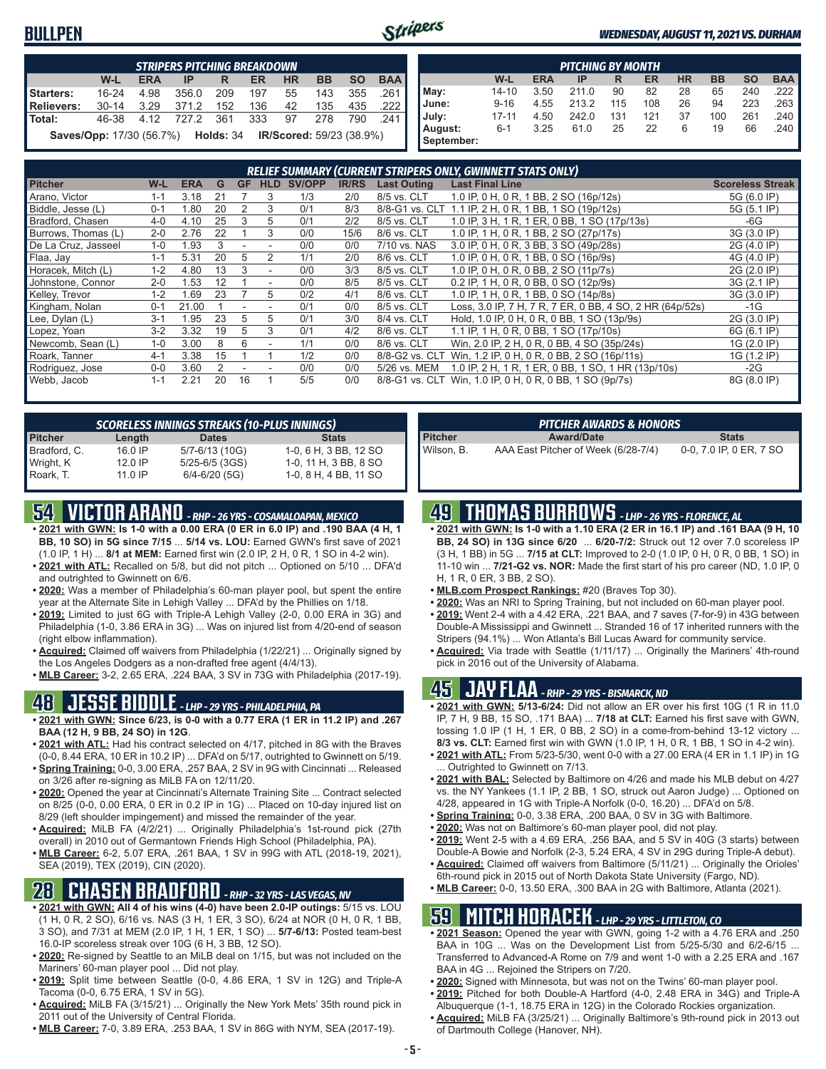#### **BULLPEN**



#### *WEDNESDAY, AUGUST 11, 2021 VS. DURHAM*

|                                                                                     | <b>STRIPERS PITCHING BREAKDOWN</b> |            |       |       |           |           |           |           |            |  |  |  |  |  |
|-------------------------------------------------------------------------------------|------------------------------------|------------|-------|-------|-----------|-----------|-----------|-----------|------------|--|--|--|--|--|
|                                                                                     | W-L                                | <b>ERA</b> | IP    | R     | <b>ER</b> | <b>HR</b> | <b>BB</b> | <b>SO</b> | <b>BAA</b> |  |  |  |  |  |
| Starters:                                                                           | $16 - 24$                          | 4.98       | 356.0 | 209   | 197       | 55        | 143       | 355       | 261 I      |  |  |  |  |  |
| <b>Relievers:</b>                                                                   | $30 - 14$                          | 3.29       | 371.2 | 152   | 136       | 42        | 135       | 435       | .222 l     |  |  |  |  |  |
| Total:                                                                              | 46-38                              | 4.12       | 727.2 | - 361 | 333       | 97        | 278       | 790       | .241       |  |  |  |  |  |
| <b>Saves/Opp:</b> 17/30 (56.7%) <b>Holds:</b> 34<br><b>IR/Scored:</b> 59/23 (38.9%) |                                    |            |       |       |           |           |           |           |            |  |  |  |  |  |

|            | <b>PITCHING BY MONTH</b> |            |       |     |     |           |           |           |            |  |  |  |  |  |
|------------|--------------------------|------------|-------|-----|-----|-----------|-----------|-----------|------------|--|--|--|--|--|
|            | W-L                      | <b>ERA</b> | IP    | R   | ER  | <b>HR</b> | <b>BB</b> | <b>SO</b> | <b>BAA</b> |  |  |  |  |  |
| May:       | $14 - 10$                | 3.50       | 211.0 | 90  | 82  | 28        | 65        | 240       | 222        |  |  |  |  |  |
| June:      | $9 - 16$                 | 4.55       | 213.2 | 115 | 108 | 26        | 94        | 223       | 263        |  |  |  |  |  |
| July:      | $17 - 11$                | 4.50       | 242.0 | 131 | 121 | 37        | 100       | 261       | 240        |  |  |  |  |  |
| August:    | $6 - 1$                  | 3.25       | 61.0  | 25  | 22  | 6         | 19        | 66        | .240       |  |  |  |  |  |
| September: |                          |            |       |     |     |           |           |           |            |  |  |  |  |  |

| <b>RELIEF SUMMARY (CURRENT STRIPERS ONLY, GWINNETT STATS ONLY)</b> |         |            |    |           |                          |        |              |                    |                                                          |                         |  |  |  |
|--------------------------------------------------------------------|---------|------------|----|-----------|--------------------------|--------|--------------|--------------------|----------------------------------------------------------|-------------------------|--|--|--|
| <b>Pitcher</b>                                                     | $W-L$   | <b>ERA</b> | G  | <b>GF</b> | <b>HLD</b>               | SV/OPP | <b>IR/RS</b> | <b>Last Outing</b> | <b>Last Final Line</b>                                   | <b>Scoreless Streak</b> |  |  |  |
| Arano, Victor                                                      | $1 - 1$ | 3.18       | 21 |           | 3                        | 1/3    | 2/0          | 8/5 vs. CLT        | 1.0 IP, 0 H, 0 R, 1 BB, 2 SO (16p/12s)                   | 5G (6.0 IP)             |  |  |  |
| Biddle, Jesse (L)                                                  | $0 - 1$ | i.80       | 20 |           | 3                        | 0/1    | 8/3          |                    | 8/8-G1 vs. CLT 1.1 IP, 2 H, 0 R, 1 BB, 1 SO (19p/12s)    | 5G (5.1 IP)             |  |  |  |
| Bradford, Chasen                                                   | $4 - 0$ | 4.10       | 25 | 3         | 5                        | 0/1    | 2/2          | 8/5 vs. CLT        | 1.0 IP, 3 H, 1 R, 1 ER, 0 BB, 1 SO (17p/13s)             | -6G                     |  |  |  |
| Burrows, Thomas (L)                                                | $2 - 0$ | 2.76       | 22 |           | 3                        | 0/0    | 15/6         | 8/6 vs. CLT        | 1.0 IP, 1 H, 0 R, 1 BB, 2 SO (27p/17s)                   | 3G (3.0 IP)             |  |  |  |
| De La Cruz, Jasseel                                                | $1 - 0$ | 1.93       |    |           |                          | 0/0    | 0/0          | 7/10 vs. NAS       | 3.0 IP, 0 H, 0 R, 3 BB, 3 SO (49p/28s)                   | 2G (4.0 IP)             |  |  |  |
| Flaa, Jay                                                          | $1 - 1$ | 5.31       | 20 | 5         |                          | 1/1    | 2/0          | 8/6 vs. CLT        | 1.0 IP, 0 H, 0 R, 1 BB, 0 SO (16p/9s)                    | 4G (4.0 IP)             |  |  |  |
| Horacek, Mitch (L)                                                 | $1 - 2$ | 4.80       | 13 | 3         | $\overline{\phantom{a}}$ | 0/0    | 3/3          | 8/5 vs. CLT        | 1.0 IP, 0 H, 0 R, 0 BB, 2 SO (11p/7s)                    | 2G (2.0 IP)             |  |  |  |
| Johnstone, Connor                                                  | $2 - 0$ | 1.53       | 12 |           |                          | 0/0    | 8/5          | 8/5 vs. CLT        | 0.2 IP, 1 H, 0 R, 0 BB, 0 SO (12p/9s)                    | 3G (2.1 IP)             |  |  |  |
| Kelley, Trevor                                                     | $1 - 2$ | .69        | 23 |           | 5                        | 0/2    | 4/1          | 8/6 vs. CLT        | 1.0 IP, 1 H, 0 R, 1 BB, 0 SO (14p/8s)                    | 3G (3.0 IP)             |  |  |  |
| Kingham, Nolan                                                     | $0 - 1$ | 21.00      |    |           |                          | 0/1    | 0/0          | 8/5 vs. CLT        | Loss, 3.0 IP, 7 H, 7 R, 7 ER, 0 BB, 4 SO, 2 HR (64p/52s) | -1G                     |  |  |  |
| Lee, Dylan (L)                                                     | $3 - 1$ | 1.95       | 23 | 5         | 5                        | 0/1    | 3/0          | 8/4 vs. CLT        | Hold, 1.0 IP, 0 H, 0 R, 0 BB, 1 SO (13p/9s)              | 2G (3.0 IP)             |  |  |  |
| Lopez, Yoan                                                        | $3-2$   | 3.32       | 19 | 5         | 3                        | 0/1    | 4/2          | 8/6 vs. CLT        | 1.1 IP, 1 H, 0 R, 0 BB, 1 SO (17p/10s)                   | 6G (6.1 IP)             |  |  |  |
| Newcomb, Sean (L)                                                  | $1 - 0$ | 3.00       |    | 6         |                          | 1/1    | 0/0          | 8/6 vs. CLT        | Win, 2.0 IP, 2 H, 0 R, 0 BB, 4 SO (35p/24s)              | 1G (2.0 IP)             |  |  |  |
| Roark, Tanner                                                      | $4-1$   | 3.38       | 15 |           |                          | 1/2    | 0/0          | 8/8-G2 vs. CLT     | Win, 1.2 IP, 0 H, 0 R, 0 BB, 2 SO (16p/11s)              | 1G (1.2 IP)             |  |  |  |
| Rodriguez, Jose                                                    | $0 - 0$ | 3.60       |    |           |                          | 0/0    | 0/0          | 5/26 vs. MEM       | 1.0 IP, 2 H, 1 R, 1 ER, 0 BB, 1 SO, 1 HR (13p/10s)       | $-2G$                   |  |  |  |
| Webb, Jacob                                                        | $1 - 1$ | 2.21       | 20 | 16        |                          | 5/5    | 0/0          |                    | 8/8-G1 vs. CLT Win, 1.0 IP, 0 H, 0 R, 0 BB, 1 SO (9p/7s) | 8G (8.0 IP)             |  |  |  |

| <b>SCORELESS INNINGS STREAKS (10-PLUS INNINGS)</b> |           |                    |                       |  |  |  |  |  |  |  |  |  |
|----------------------------------------------------|-----------|--------------------|-----------------------|--|--|--|--|--|--|--|--|--|
| <b>Pitcher</b>                                     | Length    | <b>Dates</b>       | <b>Stats</b>          |  |  |  |  |  |  |  |  |  |
| Bradford, C.                                       | 16.0 IP   | 5/7-6/13 (10G)     | 1-0, 6 H, 3 BB, 12 SO |  |  |  |  |  |  |  |  |  |
| Wright, K                                          | $12.0$ IP | $5/25 - 6/5$ (3GS) | 1-0, 11 H, 3 BB, 8 SO |  |  |  |  |  |  |  |  |  |
| Roark, T.                                          | 11 0 IP   | $6/4 - 6/20$ (5G)  | 1-0, 8 H, 4 BB, 11 SO |  |  |  |  |  |  |  |  |  |

## **54 VICTOR ARANO** *- RHP - 26 YRS - COSAMALOAPAN, MEXICO*

- **• 2021 with GWN: Is 1-0 with a 0.00 ERA (0 ER in 6.0 IP) and .190 BAA (4 H, 1 BB, 10 SO) in 5G since 7/15** ... **5/14 vs. LOU:** Earned GWN's first save of 2021
- (1.0 IP, 1 H) ... **8/1 at MEM:** Earned first win (2.0 IP, 2 H, 0 R, 1 SO in 4-2 win). **• 2021 with ATL:** Recalled on 5/8, but did not pitch ... Optioned on 5/10 ... DFA'd and outrighted to Gwinnett on 6/6.
- **• 2020:** Was a member of Philadelphia's 60-man player pool, but spent the entire year at the Alternate Site in Lehigh Valley ... DFA'd by the Phillies on 1/18.
- **• 2019:** Limited to just 6G with Triple-A Lehigh Valley (2-0, 0.00 ERA in 3G) and Philadelphia (1-0, 3.86 ERA in 3G) ... Was on injured list from 4/20-end of season (right elbow inflammation).
- **• Acquired:** Claimed off waivers from Philadelphia (1/22/21) ... Originally signed by the Los Angeles Dodgers as a non-drafted free agent (4/4/13).
- **• MLB Career:** 3-2, 2.65 ERA, .224 BAA, 3 SV in 73G with Philadelphia (2017-19).

## **48 JESSE BIDDLE** *- LHP - 29 YRS - PHILADELPHIA, PA*

- **• 2021 with GWN: Since 6/23, is 0-0 with a 0.77 ERA (1 ER in 11.2 IP) and .267 BAA (12 H, 9 BB, 24 SO) in 12G**.
- **• 2021 with ATL:** Had his contract selected on 4/17, pitched in 8G with the Braves (0-0, 8.44 ERA, 10 ER in 10.2 IP) ... DFA'd on 5/17, outrighted to Gwinnett on 5/19.
- **• Spring Training:** 0-0, 3.00 ERA, .257 BAA, 2 SV in 9G with Cincinnati ... Released on 3/26 after re-signing as MiLB FA on 12/11/20.
- **• 2020:** Opened the year at Cincinnati's Alternate Training Site ... Contract selected on 8/25 (0-0, 0.00 ERA, 0 ER in 0.2 IP in 1G) ... Placed on 10-day injured list on 8/29 (left shoulder impingement) and missed the remainder of the year.
- **• Acquired:** MiLB FA (4/2/21) ... Originally Philadelphia's 1st-round pick (27th overall) in 2010 out of Germantown Friends High School (Philadelphia, PA).
- **• MLB Career:** 6-2, 5.07 ERA, .261 BAA, 1 SV in 99G with ATL (2018-19, 2021), SEA (2019), TEX (2019), CIN (2020).

### **28 CHASEN BRADFORD** *- RHP - 32 YRS - LAS VEGAS, NV*

- **• 2021 with GWN: All 4 of his wins (4-0) have been 2.0-IP outings:** 5/15 vs. LOU (1 H, 0 R, 2 SO), 6/16 vs. NAS (3 H, 1 ER, 3 SO), 6/24 at NOR (0 H, 0 R, 1 BB, 3 SO), and 7/31 at MEM (2.0 IP, 1 H, 1 ER, 1 SO) ... **5/7-6/13:** Posted team-best 16.0-IP scoreless streak over 10G (6 H, 3 BB, 12 SO).
- **• 2020:** Re-signed by Seattle to an MiLB deal on 1/15, but was not included on the Mariners' 60-man player pool ... Did not play.
- **• 2019:** Split time between Seattle (0-0, 4.86 ERA, 1 SV in 12G) and Triple-A Tacoma (0-0, 6.75 ERA, 1 SV in 5G).
- **• Acquired:** MiLB FA (3/15/21) ... Originally the New York Mets' 35th round pick in 2011 out of the University of Central Florida.
- **• MLB Career:** 7-0, 3.89 ERA, .253 BAA, 1 SV in 86G with NYM, SEA (2017-19).

| <b>PITCHER AWARDS &amp; HONORS</b> |                                     |                         |  |  |  |  |  |  |  |  |  |
|------------------------------------|-------------------------------------|-------------------------|--|--|--|--|--|--|--|--|--|
| <b>Pitcher</b>                     | <b>Award/Date</b>                   | <b>Stats</b>            |  |  |  |  |  |  |  |  |  |
| Wilson, B.                         | AAA East Pitcher of Week (6/28-7/4) | 0-0, 7.0 IP, 0 ER, 7 SO |  |  |  |  |  |  |  |  |  |

### **49 THOMAS BURROWS** *- LHP - 26 YRS - FLORENCE, AL*

- **• 2021 with GWN: Is 1-0 with a 1.10 ERA (2 ER in 16.1 IP) and .161 BAA (9 H, 10 BB, 24 SO) in 13G since 6/20** ... **6/20-7/2:** Struck out 12 over 7.0 scoreless IP (3 H, 1 BB) in 5G ... **7/15 at CLT:** Improved to 2-0 (1.0 IP, 0 H, 0 R, 0 BB, 1 SO) in 11-10 win ... **7/21-G2 vs. NOR:** Made the first start of his pro career (ND, 1.0 IP, 0 H, 1 R, 0 ER, 3 BB, 2 SO).
- **• MLB.com Prospect Rankings:** #20 (Braves Top 30).
- **• 2020:** Was an NRI to Spring Training, but not included on 60-man player pool.
- **• 2019:** Went 2-4 with a 4.42 ERA, .221 BAA, and 7 saves (7-for-9) in 43G between Double-A Mississippi and Gwinnett ... Stranded 16 of 17 inherited runners with the Stripers (94.1%) ... Won Atlanta's Bill Lucas Award for community service.
- **• Acquired:** Via trade with Seattle (1/11/17) ... Originally the Mariners' 4th-round pick in 2016 out of the University of Alabama.

#### **45 JAY FLAA** *- RHP - 29 YRS - BISMARCK, ND*

- **• 2021 with GWN: 5/13-6/24:** Did not allow an ER over his first 10G (1 R in 11.0 IP, 7 H, 9 BB, 15 SO, .171 BAA) ... **7/18 at CLT:** Earned his first save with GWN, tossing 1.0 IP (1 H, 1 ER, 0 BB, 2 SO) in a come-from-behind 13-12 victory ... **8/3 vs. CLT:** Earned first win with GWN (1.0 IP, 1 H, 0 R, 1 BB, 1 SO in 4-2 win).
- **• 2021 with ATL:** From 5/23-5/30, went 0-0 with a 27.00 ERA (4 ER in 1.1 IP) in 1G ... Outrighted to Gwinnett on 7/13.
- **• 2021 with BAL:** Selected by Baltimore on 4/26 and made his MLB debut on 4/27 vs. the NY Yankees (1.1 IP, 2 BB, 1 SO, struck out Aaron Judge) ... Optioned on 4/28, appeared in 1G with Triple-A Norfolk (0-0, 16.20) ... DFA'd on 5/8.
- **• Spring Training:** 0-0, 3.38 ERA, .200 BAA, 0 SV in 3G with Baltimore.
- **• 2020:** Was not on Baltimore's 60-man player pool, did not play.
- **• 2019:** Went 2-5 with a 4.69 ERA, .256 BAA, and 5 SV in 40G (3 starts) between Double-A Bowie and Norfolk (2-3, 5.24 ERA, 4 SV in 29G during Triple-A debut).
- **• Acquired:** Claimed off waivers from Baltimore (5/11/21) ... Originally the Orioles' 6th-round pick in 2015 out of North Dakota State University (Fargo, ND).
- **• MLB Career:** 0-0, 13.50 ERA, .300 BAA in 2G with Baltimore, Atlanta (2021).

### **59 MITCH HORACEK** *- LHP - 29 YRS - LITTLETON, CO*

- **• 2021 Season:** Opened the year with GWN, going 1-2 with a 4.76 ERA and .250 BAA in 10G ... Was on the Development List from 5/25-5/30 and 6/2-6/15 ... Transferred to Advanced-A Rome on 7/9 and went 1-0 with a 2.25 ERA and .167 BAA in 4G ... Rejoined the Stripers on 7/20.
- **• 2020:** Signed with Minnesota, but was not on the Twins' 60-man player pool.
- **• 2019:** Pitched for both Double-A Hartford (4-0, 2.48 ERA in 34G) and Triple-A Albuquerque (1-1, 18.75 ERA in 12G) in the Colorado Rockies organization.
- **• Acquired:** MiLB FA (3/25/21) ... Originally Baltimore's 9th-round pick in 2013 out of Dartmouth College (Hanover, NH).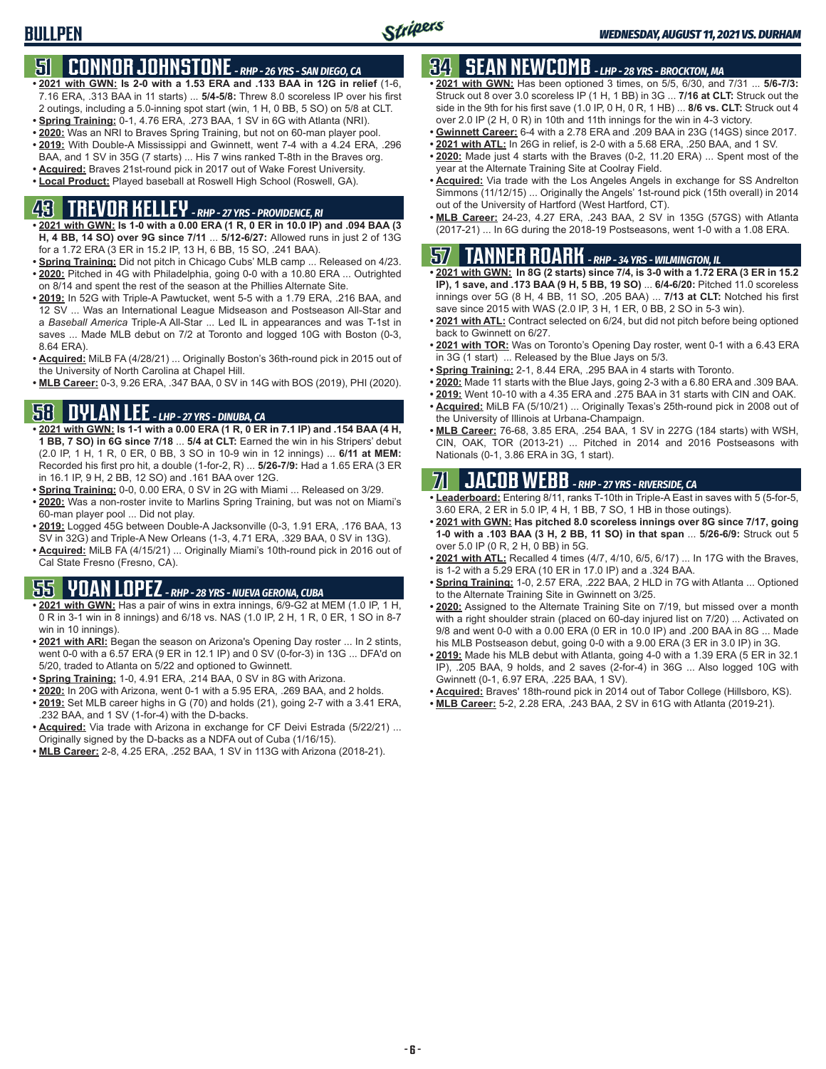## **51 CONNOR JOHNSTONE** *- RHP - 26 YRS - SAN DIEGO, CA*

- **• 2021 with GWN: Is 2-0 with a 1.53 ERA and .133 BAA in 12G in relief** (1-6, 7.16 ERA, .313 BAA in 11 starts) ... **5/4-5/8:** Threw 8.0 scoreless IP over his first 2 outings, including a 5.0-inning spot start (win, 1 H, 0 BB, 5 SO) on 5/8 at CLT.
- **• Spring Training:** 0-1, 4.76 ERA, .273 BAA, 1 SV in 6G with Atlanta (NRI).
- **• 2020:** Was an NRI to Braves Spring Training, but not on 60-man player pool.
- **• 2019:** With Double-A Mississippi and Gwinnett, went 7-4 with a 4.24 ERA, .296 BAA, and 1 SV in 35G (7 starts) ... His 7 wins ranked T-8th in the Braves org.
- **• Acquired:** Braves 21st-round pick in 2017 out of Wake Forest University.
- **• Local Product:** Played baseball at Roswell High School (Roswell, GA).

## **43 TREVOR KELLEY** *- RHP - 27 YRS - PROVIDENCE, RI*

- **• 2021 with GWN: Is 1-0 with a 0.00 ERA (1 R, 0 ER in 10.0 IP) and .094 BAA (3 H, 4 BB, 14 SO) over 9G since 7/11** ... **5/12-6/27:** Allowed runs in just 2 of 13G for a 1.72 ERA (3 ER in 15.2 IP, 13 H, 6 BB, 15 SO, .241 BAA).
- **• Spring Training:** Did not pitch in Chicago Cubs' MLB camp ... Released on 4/23. **• 2020:** Pitched in 4G with Philadelphia, going 0-0 with a 10.80 ERA ... Outrighted on 8/14 and spent the rest of the season at the Phillies Alternate Site.
- **• 2019:** In 52G with Triple-A Pawtucket, went 5-5 with a 1.79 ERA, .216 BAA, and 12 SV ... Was an International League Midseason and Postseason All-Star and a *Baseball America* Triple-A All-Star ... Led IL in appearances and was T-1st in saves ... Made MLB debut on 7/2 at Toronto and logged 10G with Boston (0-3, 8.64 ERA).
- **• Acquired:** MiLB FA (4/28/21) ... Originally Boston's 36th-round pick in 2015 out of the University of North Carolina at Chapel Hill.
- **• MLB Career:** 0-3, 9.26 ERA, .347 BAA, 0 SV in 14G with BOS (2019), PHI (2020).

## **58 DYLAN LEE** *- LHP - 27 YRS - DINUBA, CA*

- **• 2021 with GWN: Is 1-1 with a 0.00 ERA (1 R, 0 ER in 7.1 IP) and .154 BAA (4 H, 1 BB, 7 SO) in 6G since 7/18** ... **5/4 at CLT:** Earned the win in his Stripers' debut (2.0 IP, 1 H, 1 R, 0 ER, 0 BB, 3 SO in 10-9 win in 12 innings) ... **6/11 at MEM:** Recorded his first pro hit, a double (1-for-2, R) ... **5/26-7/9:** Had a 1.65 ERA (3 ER in 16.1 IP, 9 H, 2 BB, 12 SO) and .161 BAA over 12G.
- **• Spring Training:** 0-0, 0.00 ERA, 0 SV in 2G with Miami ... Released on 3/29.
- **• 2020:** Was a non-roster invite to Marlins Spring Training, but was not on Miami's 60-man player pool ... Did not play.
- **• 2019:** Logged 45G between Double-A Jacksonville (0-3, 1.91 ERA, .176 BAA, 13 SV in 32G) and Triple-A New Orleans (1-3, 4.71 ERA, .329 BAA, 0 SV in 13G).
- **• Acquired:** MiLB FA (4/15/21) ... Originally Miami's 10th-round pick in 2016 out of Cal State Fresno (Fresno, CA).

## **55 YOAN LOPEZ** *- RHP - 28 YRS - NUEVA GERONA, CUBA*

- **• 2021 with GWN:** Has a pair of wins in extra innings, 6/9-G2 at MEM (1.0 IP, 1 H, 0 R in 3-1 win in 8 innings) and 6/18 vs. NAS (1.0 IP, 2 H, 1 R, 0 ER, 1 SO in 8-7 win in 10 innings).
- **• 2021 with ARI:** Began the season on Arizona's Opening Day roster ... In 2 stints, went 0-0 with a 6.57 ERA (9 ER in 12.1 IP) and 0 SV (0-for-3) in 13G ... DFA'd on 5/20, traded to Atlanta on 5/22 and optioned to Gwinnett.
- **• Spring Training:** 1-0, 4.91 ERA, .214 BAA, 0 SV in 8G with Arizona.
- **• 2020:** In 20G with Arizona, went 0-1 with a 5.95 ERA, .269 BAA, and 2 holds.
- **• 2019:** Set MLB career highs in G (70) and holds (21), going 2-7 with a 3.41 ERA, .232 BAA, and 1 SV (1-for-4) with the D-backs.
- **• Acquired:** Via trade with Arizona in exchange for CF Deivi Estrada (5/22/21) ... Originally signed by the D-backs as a NDFA out of Cuba (1/16/15).
- **• MLB Career:** 2-8, 4.25 ERA, .252 BAA, 1 SV in 113G with Arizona (2018-21).

## **34 SEAN NEWCOMB** *- LHP - 28 YRS - BROCKTON, MA*

- **• 2021 with GWN:** Has been optioned 3 times, on 5/5, 6/30, and 7/31 ... **5/6-7/3:** Struck out 8 over 3.0 scoreless IP (1 H, 1 BB) in 3G ... **7/16 at CLT:** Struck out the side in the 9th for his first save (1.0 IP, 0 H, 0 R, 1 HB) ... **8/6 vs. CLT:** Struck out 4 over 2.0 IP (2 H, 0 R) in 10th and 11th innings for the win in 4-3 victory.
- **• Gwinnett Career:** 6-4 with a 2.78 ERA and .209 BAA in 23G (14GS) since 2017.
- **• 2021 with ATL:** In 26G in relief, is 2-0 with a 5.68 ERA, .250 BAA, and 1 SV.
- **• 2020:** Made just 4 starts with the Braves (0-2, 11.20 ERA) ... Spent most of the year at the Alternate Training Site at Coolray Field.
- **• Acquired:** Via trade with the Los Angeles Angels in exchange for SS Andrelton Simmons (11/12/15) ... Originally the Angels' 1st-round pick (15th overall) in 2014 out of the University of Hartford (West Hartford, CT).
- **• MLB Career:** 24-23, 4.27 ERA, .243 BAA, 2 SV in 135G (57GS) with Atlanta (2017-21) ... In 6G during the 2018-19 Postseasons, went 1-0 with a 1.08 ERA.

#### **57 TANNER ROARK** *- RHP - 34 YRS - WILMINGTON, IL*

- **• 2021 with GWN: In 8G (2 starts) since 7/4, is 3-0 with a 1.72 ERA (3 ER in 15.2 IP), 1 save, and .173 BAA (9 H, 5 BB, 19 SO)** ... **6/4-6/20:** Pitched 11.0 scoreless innings over 5G (8 H, 4 BB, 11 SO, .205 BAA) ... **7/13 at CLT:** Notched his first save since 2015 with WAS (2.0 IP, 3 H, 1 ER, 0 BB, 2 SO in 5-3 win).
- **• 2021 with ATL:** Contract selected on 6/24, but did not pitch before being optioned back to Gwinnett on 6/27.
- **• 2021 with TOR:** Was on Toronto's Opening Day roster, went 0-1 with a 6.43 ERA in 3G (1 start) ... Released by the Blue Jays on 5/3.
- **• Spring Training:** 2-1, 8.44 ERA, .295 BAA in 4 starts with Toronto.
- **• 2020:** Made 11 starts with the Blue Jays, going 2-3 with a 6.80 ERA and .309 BAA.
- **• 2019:** Went 10-10 with a 4.35 ERA and .275 BAA in 31 starts with CIN and OAK.
- **• Acquired:** MiLB FA (5/10/21) ... Originally Texas's 25th-round pick in 2008 out of the University of Illinois at Urbana-Champaign.
- **• MLB Career:** 76-68, 3.85 ERA, .254 BAA, 1 SV in 227G (184 starts) with WSH, CIN, OAK, TOR (2013-21) ... Pitched in 2014 and 2016 Postseasons with Nationals (0-1, 3.86 ERA in 3G, 1 start).

### **71 JACOB WEBB** *- RHP - 27 YRS - RIVERSIDE, CA*

- **• Leaderboard:** Entering 8/11, ranks T-10th in Triple-A East in saves with 5 (5-for-5, 3.60 ERA, 2 ER in 5.0 IP, 4 H, 1 BB, 7 SO, 1 HB in those outings).
- **• 2021 with GWN: Has pitched 8.0 scoreless innings over 8G since 7/17, going 1-0 with a .103 BAA (3 H, 2 BB, 11 SO) in that span** ... **5/26-6/9:** Struck out 5 over 5.0 IP (0 R, 2 H, 0 BB) in 5G.
- **• 2021 with ATL:** Recalled 4 times (4/7, 4/10, 6/5, 6/17) ... In 17G with the Braves, is 1-2 with a 5.29 ERA (10 ER in 17.0 IP) and a .324 BAA.
- **• Spring Training:** 1-0, 2.57 ERA, .222 BAA, 2 HLD in 7G with Atlanta ... Optioned to the Alternate Training Site in Gwinnett on 3/25.
- **• 2020:** Assigned to the Alternate Training Site on 7/19, but missed over a month with a right shoulder strain (placed on 60-day injured list on 7/20) ... Activated on 9/8 and went 0-0 with a 0.00 ERA (0 ER in 10.0 IP) and .200 BAA in 8G ... Made his MLB Postseason debut, going 0-0 with a 9.00 ERA (3 ER in 3.0 IP) in 3G.
- **• 2019:** Made his MLB debut with Atlanta, going 4-0 with a 1.39 ERA (5 ER in 32.1 IP), .205 BAA, 9 holds, and 2 saves (2-for-4) in 36G ... Also logged 10G with Gwinnett (0-1, 6.97 ERA, .225 BAA, 1 SV).
- **• Acquired:** Braves' 18th-round pick in 2014 out of Tabor College (Hillsboro, KS).
- **• MLB Career:** 5-2, 2.28 ERA, .243 BAA, 2 SV in 61G with Atlanta (2019-21).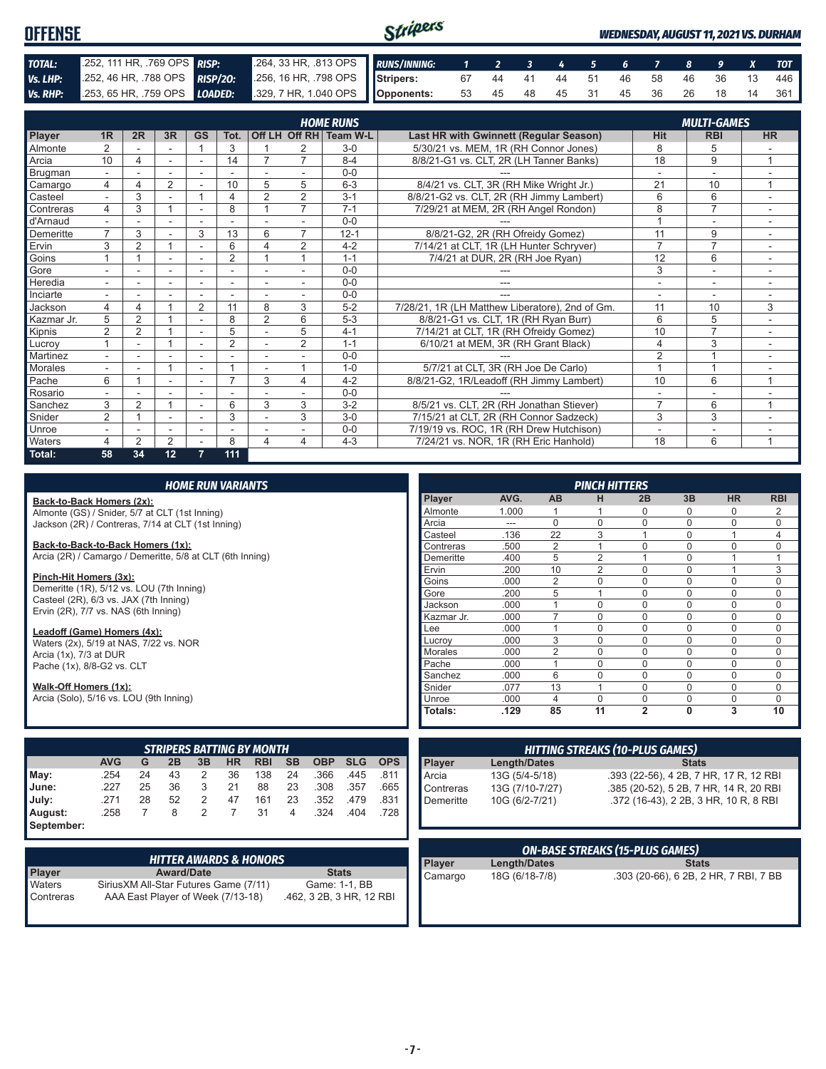| <b>OFFENSE</b> |                                                                      |                                                          | Stripers<br><b>WEDNESDAY, AUGUST 11, 2021 VS. DURHAM</b> |  |  |  |                               |  |  |  |  |  |                                   |
|----------------|----------------------------------------------------------------------|----------------------------------------------------------|----------------------------------------------------------|--|--|--|-------------------------------|--|--|--|--|--|-----------------------------------|
|                |                                                                      |                                                          |                                                          |  |  |  |                               |  |  |  |  |  |                                   |
| TOTAL:         | 252, 111 HR, 769 OPS RISP:                                           | 264, 33 HR, 813 OPS RUNS/INNING: 1 2 3 4 5 6 7 8 9 X TOT |                                                          |  |  |  |                               |  |  |  |  |  |                                   |
| Vs. LHP:       | 252, 46 HR, 788 OPS RISP/20: 256, 16 HR, 798 OPS Stripers:           |                                                          |                                                          |  |  |  |                               |  |  |  |  |  | 67 44 41 44 51 46 58 46 36 13 446 |
|                | Vs. RHP: 253, 65 HR, 759 OPS LOADED: 329, 7 HR, 1.040 OPS Opponents: |                                                          |                                                          |  |  |  | 53 45 48 45 31 45 36 26 18 14 |  |  |  |  |  | 361 l                             |

| <b>HOME RUNS</b> |                          |                |    |                |                          |                          |                |                        |                                                 |                          |                                  |                |
|------------------|--------------------------|----------------|----|----------------|--------------------------|--------------------------|----------------|------------------------|-------------------------------------------------|--------------------------|----------------------------------|----------------|
| <b>Player</b>    | 1 <sub>R</sub>           | 2R             | 3R | <b>GS</b>      | Tot.                     |                          |                | Off LH Off RH Team W-L | <b>Last HR with Gwinnett (Regular Season)</b>   | <b>Hit</b>               | <b>MULTI-GAMES</b><br><b>RBI</b> | <b>HR</b>      |
| Almonte          | $\overline{2}$           |                |    |                | 3                        |                          |                | $3-0$                  | 5/30/21 vs. MEM, 1R (RH Connor Jones)           | 8                        | 5                                |                |
| Arcia            | 10                       | 4              | ۰  |                | 14                       |                          | $\overline{7}$ | $8 - 4$                | 8/8/21-G1 vs. CLT, 2R (LH Tanner Banks)         | 18                       | 9                                |                |
| Brugman          |                          |                |    |                |                          |                          |                | $0 - 0$                |                                                 |                          | $\overline{\phantom{a}}$         |                |
| Camargo          | 4                        | 4              | 2  |                | 10                       | 5                        | 5              | $6 - 3$                | 8/4/21 vs. CLT, 3R (RH Mike Wright Jr.)         | 21                       | 10                               | 1              |
| Casteel          |                          | 3              |    |                | $\overline{4}$           | $\overline{2}$           | 2              | $3 - 1$                | 8/8/21-G2 vs. CLT, 2R (RH Jimmy Lambert)        | 6                        | 6                                | ۰              |
| Contreras        | 4                        | 3              |    |                | 8                        |                          | $\overline{7}$ | $7 - 1$                | 7/29/21 at MEM, 2R (RH Angel Rondon)            | 8                        | $\overline{7}$                   |                |
| d'Arnaud         |                          |                |    |                |                          |                          |                | $0 - 0$                |                                                 |                          | $\overline{\phantom{a}}$         |                |
| Demeritte        | $\overline{7}$           | 3              |    | 3              | 13                       | 6                        | $\overline{7}$ | $12 - 1$               | 8/8/21-G2, 2R (RH Ofreidy Gomez)                | 11                       | 9                                |                |
| Ervin            | 3                        | $\overline{2}$ |    |                | 6                        | 4                        | $\overline{2}$ | $4 - 2$                | 7/14/21 at CLT, 1R (LH Hunter Schryver)         | $\overline{7}$           | $\overline{7}$                   |                |
| Goins            |                          |                |    |                | $\overline{2}$           |                          |                | $1 - 1$                | 7/4/21 at DUR, 2R (RH Joe Ryan)                 | 12                       | 6                                |                |
| Gore             |                          |                | ۰  |                |                          |                          |                | $0 - 0$                |                                                 | 3                        | $\overline{\phantom{a}}$         |                |
| Heredia          | $\overline{\phantom{a}}$ |                | ۰  | ۰              | $\overline{\phantom{0}}$ | $\overline{\phantom{0}}$ |                | $0 - 0$                | ---                                             | ٠                        | $\overline{\phantom{a}}$         | ٠              |
| Inciarte         |                          |                |    |                |                          |                          |                | $0 - 0$                |                                                 | $\overline{\phantom{0}}$ | $\overline{a}$                   |                |
| Jackson          | 4                        | 4              |    | $\overline{2}$ | 11                       | 8                        | 3              | $5 - 2$                | 7/28/21, 1R (LH Matthew Liberatore), 2nd of Gm. | 11                       | 10                               | 3              |
| Kazmar Jr.       | 5                        | $\overline{2}$ |    |                | 8                        | $\overline{2}$           | 6              | $5-3$                  | 8/8/21-G1 vs. CLT, 1R (RH Ryan Burr)            | 6                        | 5                                |                |
| Kipnis           | $\overline{2}$           | $\overline{2}$ |    | ۰              | 5                        |                          | 5              | $4 - 1$                | 7/14/21 at CLT, 1R (RH Ofreidy Gomez)           | 10                       | $\overline{7}$                   |                |
| Lucrov           |                          |                |    |                | $\overline{2}$           |                          | 2              | $1 - 1$                | 6/10/21 at MEM, 3R (RH Grant Black)             | 4                        | 3                                | $\sim$         |
| Martinez         |                          |                |    |                |                          |                          |                | $0 - 0$                |                                                 | 2                        |                                  |                |
| Morales          |                          |                |    | ٠              |                          | ٠                        |                | $1 - 0$                | 5/7/21 at CLT, 3R (RH Joe De Carlo)             |                          |                                  |                |
| Pache            | 6                        |                |    |                | $\overline{\phantom{a}}$ | 3                        | 4              | $4 - 2$                | 8/8/21-G2, 1R/Leadoff (RH Jimmy Lambert)        | 10                       | 6                                | $\overline{ }$ |
| Rosario          |                          |                |    |                |                          |                          |                | $0 - 0$                |                                                 |                          | ÷.                               |                |
| Sanchez          | 3                        | $\overline{2}$ |    |                | 6                        | 3                        | 3              | $3 - 2$                | 8/5/21 vs. CLT, 2R (RH Jonathan Stiever)        | $\overline{7}$           | 6                                | $\overline{A}$ |
| Snider           | $\overline{2}$           |                | ۰  | ٠              | 3                        |                          | 3              | $3-0$                  | 7/15/21 at CLT, 2R (RH Connor Sadzeck)          | 3                        | 3                                |                |
| Unroe            |                          |                | ٠  | ۰              |                          |                          |                | $0 - 0$                | 7/19/19 vs. ROC, 1R (RH Drew Hutchison)         |                          | ۰                                |                |
| Waters           | 4                        | 2              | 2  |                | 8                        | 4                        | 4              | $4 - 3$                | 7/24/21 vs. NOR, 1R (RH Eric Hanhold)           | 18                       | 6                                | $\overline{A}$ |
| Total:           | 58                       | 34             | 12 | 7              | 111                      |                          |                |                        |                                                 |                          |                                  |                |

|                                                                                                                                |                                                           |    |    |   | <b>HOME RUN VARIANTS</b> |     |                     |     |     |     |              |                    |                | <b>PINCH HITTERS</b> |                                        |              |             |                |
|--------------------------------------------------------------------------------------------------------------------------------|-----------------------------------------------------------|----|----|---|--------------------------|-----|---------------------|-----|-----|-----|--------------|--------------------|----------------|----------------------|----------------------------------------|--------------|-------------|----------------|
|                                                                                                                                | <u> Back-to-Back Homers (2x):</u>                         |    |    |   |                          |     |                     |     |     |     | Player       | AVG.               | AB             | н                    | 2B                                     | 3B           | <b>HR</b>   | <b>RBI</b>     |
|                                                                                                                                | Almonte (GS) / Snider, 5/7 at CLT (1st Inning)            |    |    |   |                          |     |                     |     |     |     | Almonte      | 1.000              |                |                      |                                        |              | $\Omega$    |                |
|                                                                                                                                | Jackson (2R) / Contreras, 7/14 at CLT (1st Inning)        |    |    |   |                          |     |                     |     |     |     | Arcia        | $---$              | U              | U                    | U                                      | $\Omega$     | $\Omega$    | $\Omega$       |
|                                                                                                                                |                                                           |    |    |   |                          |     |                     |     |     |     | Casteel      | .136               | 22             |                      |                                        | $\Omega$     |             | $\overline{4}$ |
|                                                                                                                                | Back-to-Back-to-Back Homers (1x):                         |    |    |   |                          |     |                     |     |     |     | Contreras    | .500               | 2              |                      | $\Omega$                               | 0            | 0           | $\mathbf 0$    |
|                                                                                                                                | Arcia (2R) / Camargo / Demeritte, 5/8 at CLT (6th Inning) |    |    |   |                          |     |                     |     |     |     | Demeritte    | .400               | 5              | $\overline{2}$       |                                        | $\Omega$     |             |                |
|                                                                                                                                |                                                           |    |    |   |                          |     |                     |     |     |     | Ervin        | .200               | 10             |                      | $\Omega$                               | 0            |             | 3              |
|                                                                                                                                | Pinch-Hit Homers (3x):                                    |    |    |   |                          |     |                     |     |     |     | Goins        | .000               | $\overline{2}$ |                      | $\Omega$                               | $\Omega$     | $\Omega$    | $\Omega$       |
|                                                                                                                                | Demeritte (1R), 5/12 vs. LOU (7th Inning)                 |    |    |   |                          |     |                     |     |     |     | Gore         | .200               |                |                      | $\Omega$                               | $\Omega$     | $\Omega$    | $\mathbf 0$    |
|                                                                                                                                | Casteel (2R), 6/3 vs. JAX (7th Inning)                    |    |    |   |                          |     |                     |     |     |     | Jackson      | .000               |                | 0                    | $\Omega$                               | $\Omega$     | $\Omega$    | $\Omega$       |
|                                                                                                                                | Ervin (2R), 7/7 vs. NAS (6th Inning)                      |    |    |   |                          |     |                     |     |     |     | Kazmar Jr.   | .000               |                | U                    | U                                      | $\Omega$     | $\Omega$    | $\Omega$       |
|                                                                                                                                | Leadoff (Game) Homers (4x):                               |    |    |   |                          |     |                     |     |     |     | Lee          | .000               |                | $\Omega$             | U                                      | $\Omega$     | $\Omega$    | $\mathbf 0$    |
|                                                                                                                                | Waters (2x), 5/19 at NAS, 7/22 vs. NOR                    |    |    |   |                          |     |                     |     |     |     | Lucrov       | .000               | 3              | $\Omega$             | $\Omega$                               | $\Omega$     | $\Omega$    | $\mathbf 0$    |
|                                                                                                                                | Arcia (1x), 7/3 at DUR                                    |    |    |   |                          |     |                     |     |     |     | Morales      | .000               | 2              | $\Omega$             | $\Omega$                               | $\Omega$     | $\mathbf 0$ | $\mathbf 0$    |
|                                                                                                                                | Pache (1x), 8/8-G2 vs. CLT                                |    |    |   |                          |     |                     |     |     |     | Pache        | .000               |                | $\Omega$             | $\Omega$                               | $\Omega$     | $\Omega$    | $\Omega$       |
|                                                                                                                                |                                                           |    |    |   |                          |     |                     |     |     |     | Sanchez      | .000               | 6              | $\Omega$             | $\Omega$                               | $\Omega$     | $\Omega$    | $\Omega$       |
|                                                                                                                                | Walk-Off Homers (1x):                                     |    |    |   |                          |     |                     |     |     |     | Snider       | .077               | 13             |                      | $\Omega$                               | $\Omega$     | $\mathbf 0$ | $\mathbf 0$    |
|                                                                                                                                | Arcia (Solo), 5/16 vs. LOU (9th Inning)                   |    |    |   |                          |     |                     |     |     |     | Unroe        | .000               |                | $\Omega$             | $\Omega$                               | $\Omega$     | 0           | $\Omega$       |
|                                                                                                                                |                                                           |    |    |   |                          |     |                     |     |     |     | Totals:      | .129               | 85             | 11                   | $\overline{\phantom{a}}$               | $\mathbf{0}$ | 3           | 10             |
|                                                                                                                                |                                                           |    |    |   |                          |     |                     |     |     |     |              |                    |                |                      |                                        |              |             |                |
|                                                                                                                                | <b>STRIPERS BATTING BY MONTH</b>                          |    |    |   |                          |     |                     |     |     |     |              |                    |                |                      | <b>HITTING STREAKS (10-PLUS GAMES)</b> |              |             |                |
| <b>SLG</b><br><b>OPS</b><br><b>AVG</b><br>2B<br><b>HR</b><br><b>RBI</b><br><b>SB</b><br><b>OBP</b><br><b>Player</b><br>G<br>3B |                                                           |    |    |   |                          |     | <b>Length/Dates</b> |     |     |     | <b>Stats</b> |                    |                |                      |                                        |              |             |                |
| ¶av∙                                                                                                                           | 254                                                       | 24 | 43 | 2 | 36.                      | 138 | 24                  | 366 | 445 | 811 | <b>Arcia</b> | $13G (5/4 - 5/18)$ |                |                      | 393 (22-56) 4 2R 7 HR 17 R 12 RRI      |              |             |                |

| Mav:                    | .254 | 24             | 43 | $\overline{2}$ | 36             | 138 24 |        |      | .366 .445 .811 |      |
|-------------------------|------|----------------|----|----------------|----------------|--------|--------|------|----------------|------|
| l June:                 | .227 | 25             | 36 | 3              | 21             | 88     | 23     |      | .308.357       | .665 |
| Uulv:                   | .271 | 28             | 52 | 2              | 47             |        | 161 23 |      | .352.479       | .831 |
| l August:<br>September: | .258 | $\overline{7}$ | 8  | 2              | $\overline{7}$ | 31     | 4      | .324 | .404           | .728 |

| <b>HITTER AWARDS &amp; HONORS</b> |                                        |                          |
|-----------------------------------|----------------------------------------|--------------------------|
| <b>Player</b>                     | <b>Award/Date</b>                      | <b>Stats</b>             |
| <b>Waters</b>                     | Sirius XM All-Star Futures Game (7/11) | Game: 1-1, BB            |
| <b>Contreras</b>                  | AAA East Player of Week (7/13-18)      | .462, 3 2B, 3 HR, 12 RBI |

| <b>ON-BASE STREAKS (15-PLUS GAMES)</b> |                 |                                        |
|----------------------------------------|-----------------|----------------------------------------|
|                                        |                 |                                        |
|                                        |                 |                                        |
| Demeritte                              | 10G (6/2-7/21)  | .372 (16-43), 2 2B, 3 HR, 10 R, 8 RBI  |
| Contreras                              | 13G (7/10-7/27) | .385 (20-52), 5 2B, 7 HR, 14 R, 20 RBI |
| Arcia                                  | 13G (5/4-5/18)  | .393 (22-56), 4 2B, 7 HR, 17 R, 12 RBI |

| <b>ON-BASE STREAKS (15-PLUS GAMES)</b> |                |                                       |
|----------------------------------------|----------------|---------------------------------------|
| Player                                 | Length/Dates   | <b>Stats</b>                          |
| Camargo                                | 18G (6/18-7/8) | .303 (20-66), 6 2B, 2 HR, 7 RBI, 7 BB |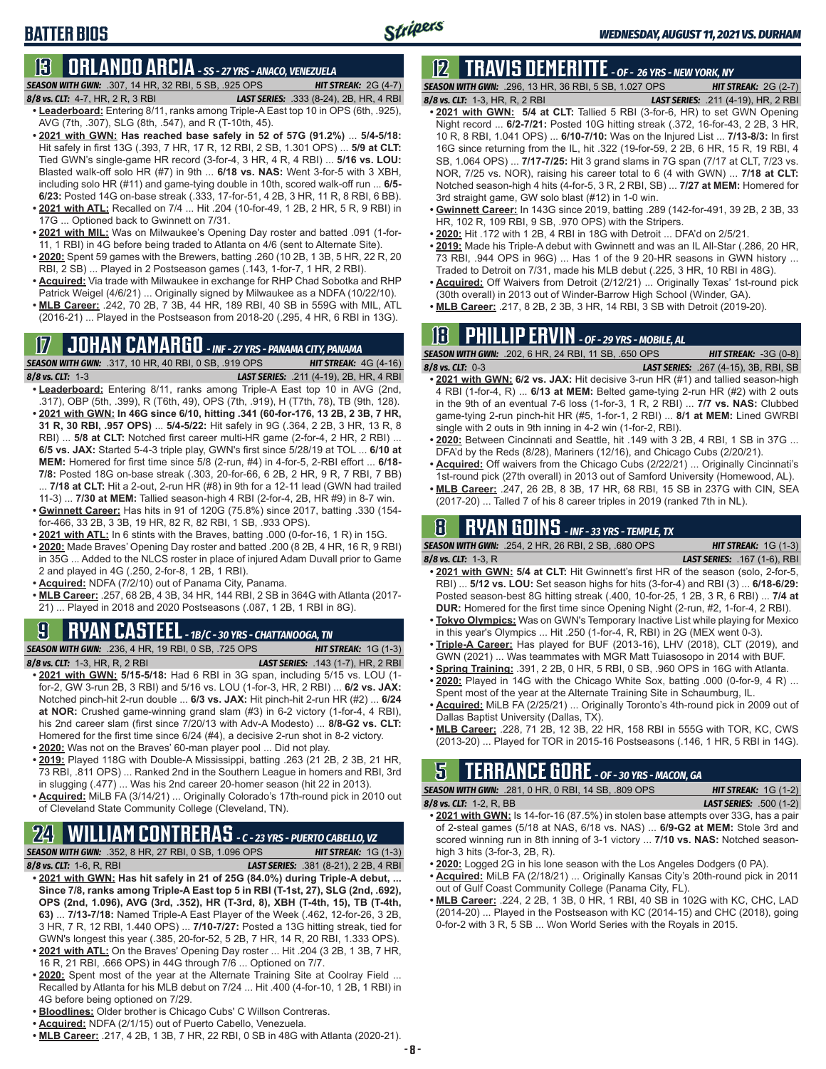## **BATTER BIOS**

## **13 ORLANDO ARCIA** *- SS - 27 YRS - ANACO, VENEZUELA*

*SEASON WITH GWN:*.307, 14 HR, 32 RBI, 5 SB, .925 OPS *HIT STREAK:* 2G (4-7)

*8/8 vs. CLT:*4-7, HR, 2 R, 3 RBI *LAST SERIES:* .333 (8-24), 2B, HR, 4 RBI

- **• Leaderboard:** Entering 8/11, ranks among Triple-A East top 10 in OPS (6th, .925), AVG (7th, .307), SLG (8th, .547), and R (T-10th, 45).
- **• 2021 with GWN: Has reached base safely in 52 of 57G (91.2%)** ... **5/4-5/18:**  Hit safely in first 13G (.393, 7 HR, 17 R, 12 RBI, 2 SB, 1.301 OPS) ... **5/9 at CLT:** Tied GWN's single-game HR record (3-for-4, 3 HR, 4 R, 4 RBI) ... **5/16 vs. LOU:** Blasted walk-off solo HR (#7) in 9th ... **6/18 vs. NAS:** Went 3-for-5 with 3 XBH, including solo HR (#11) and game-tying double in 10th, scored walk-off run ... **6/5- 6/23:** Posted 14G on-base streak (.333, 17-for-51, 4 2B, 3 HR, 11 R, 8 RBI, 6 BB).
- **• 2021 with ATL:** Recalled on 7/4 ... Hit .204 (10-for-49, 1 2B, 2 HR, 5 R, 9 RBI) in 17G ... Optioned back to Gwinnett on 7/31.
- **• 2021 with MIL:** Was on Milwaukee's Opening Day roster and batted .091 (1-for-11, 1 RBI) in 4G before being traded to Atlanta on 4/6 (sent to Alternate Site).
- **• 2020:** Spent 59 games with the Brewers, batting .260 (10 2B, 1 3B, 5 HR, 22 R, 20 RBI, 2 SB) ... Played in 2 Postseason games (.143, 1-for-7, 1 HR, 2 RBI).
- **• Acquired:** Via trade with Milwaukee in exchange for RHP Chad Sobotka and RHP Patrick Weigel (4/6/21) ... Originally signed by Milwaukee as a NDFA (10/22/10).
- **• MLB Career:** .242, 70 2B, 7 3B, 44 HR, 189 RBI, 40 SB in 559G with MIL, ATL (2016-21) ... Played in the Postseason from 2018-20 (.295, 4 HR, 6 RBI in 13G).

## **17 JOHAN CAMARGO** *- INF - 27 YRS - PANAMA CITY, PANAMA*

*SEASON WITH GWN:*.317, 10 HR, 40 RBI, 0 SB, .919 OPS *HIT STREAK:* 4G (4-16) *8/8 vs. CLT:* 1-3 *LAST SERIES:* .211 (4-19), 2B, HR, 4 RBI **• Leaderboard:** Entering 8/11, ranks among Triple-A East top 10 in AVG (2nd, .317), OBP (5th, .399), R (T6th, 49), OPS (7th, .919), H (T7th, 78), TB (9th, 128). **• 2021 with GWN: In 46G since 6/10, hitting .341 (60-for-176, 13 2B, 2 3B, 7 HR, 31 R, 30 RBI, .957 OPS)** ... **5/4-5/22:** Hit safely in 9G (.364, 2 2B, 3 HR, 13 R, 8

- RBI) ... **5/8 at CLT:** Notched first career multi-HR game (2-for-4, 2 HR, 2 RBI) ... **6/5 vs. JAX:** Started 5-4-3 triple play, GWN's first since 5/28/19 at TOL ... **6/10 at MEM:** Homered for first time since 5/8 (2-run, #4) in 4-for-5, 2-RBI effort ... **6/18- 7/8:** Posted 18G on-base streak (.303, 20-for-66, 6 2B, 2 HR, 9 R, 7 RBI, 7 BB) ... **7/18 at CLT:** Hit a 2-out, 2-run HR (#8) in 9th for a 12-11 lead (GWN had trailed
- 11-3) ... **7/30 at MEM:** Tallied season-high 4 RBI (2-for-4, 2B, HR #9) in 8-7 win. **• Gwinnett Career:** Has hits in 91 of 120G (75.8%) since 2017, batting .330 (154-
- for-466, 33 2B, 3 3B, 19 HR, 82 R, 82 RBI, 1 SB, .933 OPS). **• 2021 with ATL:** In 6 stints with the Braves, batting .000 (0-for-16, 1 R) in 15G.
- **• 2020:** Made Braves' Opening Day roster and batted .200 (8 2B, 4 HR, 16 R, 9 RBI) in 35G ... Added to the NLCS roster in place of injured Adam Duvall prior to Game 2 and played in 4G (.250, 2-for-8, 1 2B, 1 RBI).
- **• Acquired:** NDFA (7/2/10) out of Panama City, Panama.
- **• MLB Career:** .257, 68 2B, 4 3B, 34 HR, 144 RBI, 2 SB in 364G with Atlanta (2017- 21) ... Played in 2018 and 2020 Postseasons (.087, 1 2B, 1 RBI in 8G).

## **9 RYAN CASTEEL** *- 1B/C - 30 YRS - CHATTANOOGA, TN*

*SEASON WITH GWN:*.236, 4 HR, 19 RBI, 0 SB, .725 OPS *HIT STREAK:* 1G (1-3) *8/8 vs. CLT:*1-3, HR, R, 2 RBI *LAST SERIES:* .143 (1-7), HR, 2 RBI

- **• 2021 with GWN: 5/15-5/18:** Had 6 RBI in 3G span, including 5/15 vs. LOU (1 for-2, GW 3-run 2B, 3 RBI) and 5/16 vs. LOU (1-for-3, HR, 2 RBI) ... **6/2 vs. JAX:** Notched pinch-hit 2-run double ... **6/3 vs. JAX:** Hit pinch-hit 2-run HR (#2) ... **6/24 at NOR:** Crushed game-winning grand slam (#3) in 6-2 victory (1-for-4, 4 RBI), his 2nd career slam (first since 7/20/13 with Adv-A Modesto) ... **8/8-G2 vs. CLT:** Homered for the first time since 6/24 (#4), a decisive 2-run shot in 8-2 victory.
- **• 2020:** Was not on the Braves' 60-man player pool ... Did not play.
- **• 2019:** Played 118G with Double-A Mississippi, batting .263 (21 2B, 2 3B, 21 HR, 73 RBI, .811 OPS) ... Ranked 2nd in the Southern League in homers and RBI, 3rd in slugging (.477) ... Was his 2nd career 20-homer season (hit 22 in 2013).
- **• Acquired:** MiLB FA (3/14/21) ... Originally Colorado's 17th-round pick in 2010 out of Cleveland State Community College (Cleveland, TN).

## **24 WILLIAM CONTRERAS** *- C - 23 YRS - PUERTO CABELLO, VZ*

*SEASON WITH GWN:*.352, 8 HR, 27 RBI, 0 SB, 1.096 OPS *HIT STREAK:* 1G (1-3)

- *8/8 vs. CLT:* 1-6, R, RBI *LAST SERIES:* .381 (8-21), 2 2B, 4 RBI **• 2021 with GWN: Has hit safely in 21 of 25G (84.0%) during Triple-A debut, ... Since 7/8, ranks among Triple-A East top 5 in RBI (T-1st, 27), SLG (2nd, .692), OPS (2nd, 1.096), AVG (3rd, .352), HR (T-3rd, 8), XBH (T-4th, 15), TB (T-4th, 63)** ... **7/13-7/18:** Named Triple-A East Player of the Week (.462, 12-for-26, 3 2B, 3 HR, 7 R, 12 RBI, 1.440 OPS) ... **7/10-7/27:** Posted a 13G hitting streak, tied for GWN's longest this year (.385, 20-for-52, 5 2B, 7 HR, 14 R, 20 RBI, 1.333 OPS).
- **• 2021 with ATL:** On the Braves' Opening Day roster ... Hit .204 (3 2B, 1 3B, 7 HR, 16 R, 21 RBI, .666 OPS) in 44G through 7/6 ... Optioned on 7/7.
- **• 2020:** Spent most of the year at the Alternate Training Site at Coolray Field ... Recalled by Atlanta for his MLB debut on 7/24 ... Hit .400 (4-for-10, 1 2B, 1 RBI) in 4G before being optioned on 7/29.
- **• Bloodlines:** Older brother is Chicago Cubs' C Willson Contreras.
- **• Acquired:** NDFA (2/1/15) out of Puerto Cabello, Venezuela.
- **• MLB Career:** .217, 4 2B, 1 3B, 7 HR, 22 RBI, 0 SB in 48G with Atlanta (2020-21).

## **12 TRAVIS DEMERITTE** *- OF - 26 YRS - NEW YORK, NY*

*SEASON WITH GWN:*.296, 13 HR, 36 RBI, 5 SB, 1.027 OPS *HIT STREAK:* 2G (2-7) *8/8 vs. CLT:*1-3, HR, R, 2 RBI *LAST SERIES:* .211 (4-19), HR, 2 RBI

- 
- **• 2021 with GWN: 5/4 at CLT:** Tallied 5 RBI (3-for-6, HR) to set GWN Opening Night record ... **6/2-7/21:** Posted 10G hitting streak (.372, 16-for-43, 2 2B, 3 HR, 10 R, 8 RBI, 1.041 OPS) ... **6/10-7/10:** Was on the Injured List ... **7/13-8/3:** In first 16G since returning from the IL, hit .322 (19-for-59, 2 2B, 6 HR, 15 R, 19 RBI, 4 SB, 1.064 OPS) ... **7/17-7/25:** Hit 3 grand slams in 7G span (7/17 at CLT, 7/23 vs. NOR, 7/25 vs. NOR), raising his career total to 6 (4 with GWN) ... **7/18 at CLT:** Notched season-high 4 hits (4-for-5, 3 R, 2 RBI, SB) ... **7/27 at MEM:** Homered for 3rd straight game, GW solo blast (#12) in 1-0 win.
- **• Gwinnett Career:** In 143G since 2019, batting .289 (142-for-491, 39 2B, 2 3B, 33 HR, 102 R, 109 RBI, 9 SB, .970 OPS) with the Stripers.
- **• 2020:** Hit .172 with 1 2B, 4 RBI in 18G with Detroit ... DFA'd on 2/5/21.
- **• 2019:** Made his Triple-A debut with Gwinnett and was an IL All-Star (.286, 20 HR, 73 RBI, .944 OPS in 96G) ... Has 1 of the 9 20-HR seasons in GWN history ... Traded to Detroit on 7/31, made his MLB debut (.225, 3 HR, 10 RBI in 48G).
- **• Acquired:** Off Waivers from Detroit (2/12/21) ... Originally Texas' 1st-round pick (30th overall) in 2013 out of Winder-Barrow High School (Winder, GA).
- **• MLB Career:** .217, 8 2B, 2 3B, 3 HR, 14 RBI, 3 SB with Detroit (2019-20).

### **18 PHILLIP ERVIN** *- OF - 29 YRS - MOBILE, AL*

*SEASON WITH GWN:*.202, 6 HR, 24 RBI, 11 SB, .650 OPS *HIT STREAK:* -3G (0-8) *8/8 vs. CLT:*0-3 *LAST SERIES:* .267 (4-15), 3B, RBI, SB

- **• 2021 with GWN: 6/2 vs. JAX:** Hit decisive 3-run HR (#1) and tallied season-high 4 RBI (1-for-4, R) ... **6/13 at MEM:** Belted game-tying 2-run HR (#2) with 2 outs in the 9th of an eventual 7-6 loss (1-for-3, 1 R, 2 RBI) ... **7/7 vs. NAS:** Clubbed game-tying 2-run pinch-hit HR (#5, 1-for-1, 2 RBI) ... **8/1 at MEM:** Lined GWRBI single with 2 outs in 9th inning in 4-2 win (1-for-2, RBI).
- **• 2020:** Between Cincinnati and Seattle, hit .149 with 3 2B, 4 RBI, 1 SB in 37G ... DFA'd by the Reds (8/28), Mariners (12/16), and Chicago Cubs (2/20/21).
- **• Acquired:** Off waivers from the Chicago Cubs (2/22/21) ... Originally Cincinnati's 1st-round pick (27th overall) in 2013 out of Samford University (Homewood, AL).
- **• MLB Career:** .247, 26 2B, 8 3B, 17 HR, 68 RBI, 15 SB in 237G with CIN, SEA (2017-20) ... Talled 7 of his 8 career triples in 2019 (ranked 7th in NL).

## **8 RYAN GOINS** *- INF - 33 YRS - TEMPLE, TX*

*SEASON WITH GWN:*.254, 2 HR, 26 RBI, 2 SB, .680 OPS *HIT STREAK:* 1G (1-3) *8/8 vs. CLT:*1-3, R *LAST SERIES:* .167 (1-6), RBI

- **• 2021 with GWN: 5/4 at CLT:** Hit Gwinnett's first HR of the season (solo, 2-for-5, RBI) ... **5/12 vs. LOU:** Set season highs for hits (3-for-4) and RBI (3) ... **6/18-6/29:** Posted season-best 8G hitting streak (.400, 10-for-25, 1 2B, 3 R, 6 RBI) ... **7/4 at DUR:** Homered for the first time since Opening Night (2-run, #2, 1-for-4, 2 RBI).
- **• Tokyo Olympics:** Was on GWN's Temporary Inactive List while playing for Mexico in this year's Olympics ... Hit .250 (1-for-4, R, RBI) in 2G (MEX went 0-3).
- **• Triple-A Career:** Has played for BUF (2013-16), LHV (2018), CLT (2019), and GWN (2021) ... Was teammates with MGR Matt Tuiasosopo in 2014 with BUF.
- **• Spring Training:** .391, 2 2B, 0 HR, 5 RBI, 0 SB, .960 OPS in 16G with Atlanta.
- **• 2020:** Played in 14G with the Chicago White Sox, batting .000 (0-for-9, 4 R) ...
- Spent most of the year at the Alternate Training Site in Schaumburg, IL. **• Acquired:** MiLB FA (2/25/21) ... Originally Toronto's 4th-round pick in 2009 out of
- Dallas Baptist University (Dallas, TX). **• MLB Career:** .228, 71 2B, 12 3B, 22 HR, 158 RBI in 555G with TOR, KC, CWS (2013-20) ... Played for TOR in 2015-16 Postseasons (.146, 1 HR, 5 RBI in 14G).

### **5 TERRANCE GORE** *- OF - 30 YRS - MACON, GA*

*SEASON WITH GWN:*.281, 0 HR, 0 RBI, 14 SB, .809 OPS *HIT STREAK:* 1G (1-2) *8/8 vs. CLT:*1-2, R, BB *LAST SERIES:* .500 (1-2)

- **• 2021 with GWN:** Is 14-for-16 (87.5%) in stolen base attempts over 33G, has a pair of 2-steal games (5/18 at NAS, 6/18 vs. NAS) ... **6/9-G2 at MEM:** Stole 3rd and scored winning run in 8th inning of 3-1 victory ... **7/10 vs. NAS:** Notched seasonhigh 3 hits (3-for-3, 2B, R).
- **• 2020:** Logged 2G in his lone season with the Los Angeles Dodgers (0 PA).
- **• Acquired:** MiLB FA (2/18/21) ... Originally Kansas City's 20th-round pick in 2011 out of Gulf Coast Community College (Panama City, FL).
- **• MLB Career:** .224, 2 2B, 1 3B, 0 HR, 1 RBI, 40 SB in 102G with KC, CHC, LAD (2014-20) ... Played in the Postseason with KC (2014-15) and CHC (2018), going 0-for-2 with 3 R, 5 SB ... Won World Series with the Royals in 2015.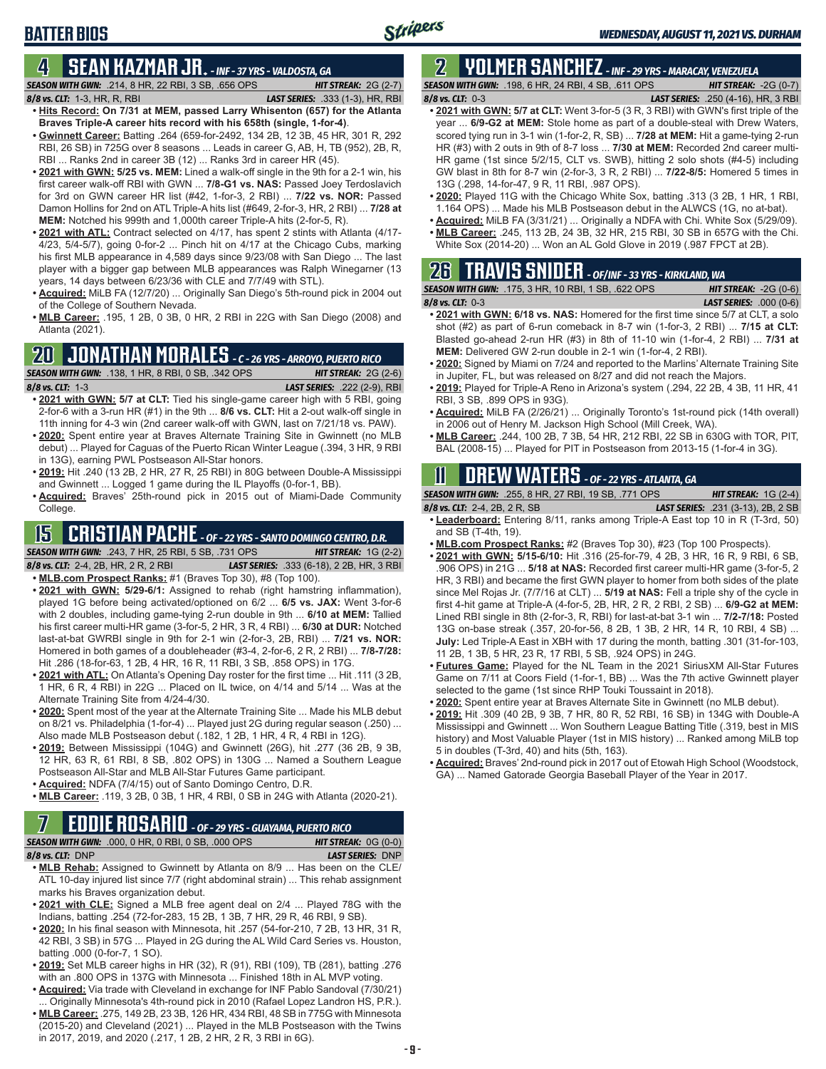### **BATTER BIOS**

#### **4 SEAN KAZMAR JR.** *- INF - 37 YRS - VALDOSTA, GA*

*SEASON WITH GWN:*.214, 8 HR, 22 RBI, 3 SB, .656 OPS *HIT STREAK:* 2G (2-7)

*8/8 vs. CLT:*1-3, HR, R, RBI *LAST SERIES:* .333 (1-3), HR, RBI

- **• Hits Record: On 7/31 at MEM, passed Larry Whisenton (657) for the Atlanta Braves Triple-A career hits record with his 658th (single, 1-for-4)**. **• Gwinnett Career:** Batting .264 (659-for-2492, 134 2B, 12 3B, 45 HR, 301 R, 292
- RBI, 26 SB) in 725G over 8 seasons ... Leads in career G, AB, H, TB (952), 2B, R, RBI ... Ranks 2nd in career 3B (12) ... Ranks 3rd in career HR (45).
- **• 2021 with GWN: 5/25 vs. MEM:** Lined a walk-off single in the 9th for a 2-1 win, his first career walk-off RBI with GWN ... **7/8-G1 vs. NAS:** Passed Joey Terdoslavich for 3rd on GWN career HR list (#42, 1-for-3, 2 RBI) ... **7/22 vs. NOR:** Passed Damon Hollins for 2nd on ATL Triple-A hits list (#649, 2-for-3, HR, 2 RBI) ... **7/28 at MEM:** Notched his 999th and 1,000th career Triple-A hits (2-for-5, R).
- **• 2021 with ATL:** Contract selected on 4/17, has spent 2 stints with Atlanta (4/17- 4/23, 5/4-5/7), going 0-for-2 ... Pinch hit on 4/17 at the Chicago Cubs, marking his first MLB appearance in 4,589 days since 9/23/08 with San Diego ... The last player with a bigger gap between MLB appearances was Ralph Winegarner (13 years, 14 days between 6/23/36 with CLE and 7/7/49 with STL).
- **• Acquired:** MiLB FA (12/7/20) ... Originally San Diego's 5th-round pick in 2004 out of the College of Southern Nevada.
- **• MLB Career:** .195, 1 2B, 0 3B, 0 HR, 2 RBI in 22G with San Diego (2008) and Atlanta (2021).

### **20 JONATHAN MORALES** *- C - 26 YRS - ARROYO, PUERTO RICO*

*SEASON WITH GWN:*.138, 1 HR, 8 RBI, 0 SB, .342 OPS *HIT STREAK:* 2G (2-6)

*8/8 vs. CLT:*1-3 *LAST SERIES:* .222 (2-9), RBI

- **• 2021 with GWN: 5/7 at CLT:** Tied his single-game career high with 5 RBI, going 2-for-6 with a 3-run HR (#1) in the 9th ... **8/6 vs. CLT:** Hit a 2-out walk-off single in 11th inning for 4-3 win (2nd career walk-off with GWN, last on 7/21/18 vs. PAW).
- **• 2020:** Spent entire year at Braves Alternate Training Site in Gwinnett (no MLB debut) ... Played for Caguas of the Puerto Rican Winter League (.394, 3 HR, 9 RBI in 13G), earning PWL Postseason All-Star honors.
- **• 2019:** Hit .240 (13 2B, 2 HR, 27 R, 25 RBI) in 80G between Double-A Mississippi and Gwinnett ... Logged 1 game during the IL Playoffs (0-for-1, BB).
- **• Acquired:** Braves' 25th-round pick in 2015 out of Miami-Dade Community College.

## **15 CRISTIAN PACHE** *- OF - 22 YRS - SANTO DOMINGO CENTRO, D.R.*

*SEASON WITH GWN:*.243, 7 HR, 25 RBI, 5 SB, .731 OPS *HIT STREAK:* 1G (2-2) *8/8 vs. CLT:* 2-4, 2B, HR, 2 R, 2 RBI *LAST SERIES:* .333 (6-18), 2 2B, HR, 3 RBI

- **• MLB.com Prospect Ranks:** #1 (Braves Top 30), #8 (Top 100).
- **• 2021 with GWN: 5/29-6/1:** Assigned to rehab (right hamstring inflammation), played 1G before being activated/optioned on 6/2 ... **6/5 vs. JAX:** Went 3-for-6 with 2 doubles, including game-tying 2-run double in 9th ... **6/10 at MEM:** Tallied his first career multi-HR game (3-for-5, 2 HR, 3 R, 4 RBI) ... **6/30 at DUR:** Notched last-at-bat GWRBI single in 9th for 2-1 win (2-for-3, 2B, RBI) ... **7/21 vs. NOR:** Homered in both games of a doubleheader (#3-4, 2-for-6, 2 R, 2 RBI) ... **7/8-7/28:** Hit .286 (18-for-63, 1 2B, 4 HR, 16 R, 11 RBI, 3 SB, .858 OPS) in 17G.
- **• 2021 with ATL:** On Atlanta's Opening Day roster for the first time ... Hit .111 (3 2B, 1 HR, 6 R, 4 RBI) in 22G ... Placed on IL twice, on 4/14 and 5/14 ... Was at the Alternate Training Site from 4/24-4/30.
- **• 2020:** Spent most of the year at the Alternate Training Site ... Made his MLB debut on 8/21 vs. Philadelphia (1-for-4) ... Played just 2G during regular season (.250) ... Also made MLB Postseason debut (.182, 1 2B, 1 HR, 4 R, 4 RBI in 12G).
- **• 2019:** Between Mississippi (104G) and Gwinnett (26G), hit .277 (36 2B, 9 3B, 12 HR, 63 R, 61 RBI, 8 SB, .802 OPS) in 130G ... Named a Southern League Postseason All-Star and MLB All-Star Futures Game participant.
- **• Acquired:** NDFA (7/4/15) out of Santo Domingo Centro, D.R.
- **• MLB Career:** .119, 3 2B, 0 3B, 1 HR, 4 RBI, 0 SB in 24G with Atlanta (2020-21).

### **7 EDDIE ROSARIO** *- OF - 29 YRS - GUAYAMA, PUERTO RICO*

| $\blacksquare$                                            |                              |
|-----------------------------------------------------------|------------------------------|
| <b>SEASON WITH GWN:</b> .000, 0 HR, 0 RBI, 0 SB, .000 OPS | <b>HIT STREAK:</b> $OG(0-0)$ |
|                                                           |                              |

*8/8 vs. CLT:* DNP *LAST SERIES:* DNP

- **• MLB Rehab:** Assigned to Gwinnett by Atlanta on 8/9 ... Has been on the CLE/ ATL 10-day injured list since 7/7 (right abdominal strain) ... This rehab assignment marks his Braves organization debut.
- **• 2021 with CLE:** Signed a MLB free agent deal on 2/4 ... Played 78G with the Indians, batting .254 (72-for-283, 15 2B, 1 3B, 7 HR, 29 R, 46 RBI, 9 SB).
- **• 2020:** In his final season with Minnesota, hit .257 (54-for-210, 7 2B, 13 HR, 31 R, 42 RBI, 3 SB) in 57G ... Played in 2G during the AL Wild Card Series vs. Houston, batting .000 (0-for-7, 1 SO).
- **• 2019:** Set MLB career highs in HR (32), R (91), RBI (109), TB (281), batting .276 with an .800 OPS in 137G with Minnesota ... Finished 18th in AL MVP voting.
- **• Acquired:** Via trade with Cleveland in exchange for INF Pablo Sandoval (7/30/21) Originally Minnesota's 4th-round pick in 2010 (Rafael Lopez Landron HS, P.R.).
- **• MLB Career:** .275, 149 2B, 23 3B, 126 HR, 434 RBI, 48 SB in 775G with Minnesota (2015-20) and Cleveland (2021) ... Played in the MLB Postseason with the Twins in 2017, 2019, and 2020 (.217, 1 2B, 2 HR, 2 R, 3 RBI in 6G).

#### **2 YOLMER SANCHEZ** *- INF - 29 YRS - MARACAY, VENEZUELA SEASON WITH GWN:*.198, 6 HR, 24 RBI, 4 SB, .611 OPS *HIT STREAK:* -2G (0-7)

*8/8 vs. CLT:*0-3 *LAST SERIES:* .250 (4-16), HR, 3 RBI

- **• 2021 with GWN: 5/7 at CLT:** Went 3-for-5 (3 R, 3 RBI) with GWN's first triple of the year ... **6/9-G2 at MEM:** Stole home as part of a double-steal with Drew Waters, scored tying run in 3-1 win (1-for-2, R, SB) ... **7/28 at MEM:** Hit a game-tying 2-run HR (#3) with 2 outs in 9th of 8-7 loss ... **7/30 at MEM:** Recorded 2nd career multi-HR game (1st since 5/2/15, CLT vs. SWB), hitting 2 solo shots (#4-5) including GW blast in 8th for 8-7 win (2-for-3, 3 R, 2 RBI) ... **7/22-8/5:** Homered 5 times in 13G (.298, 14-for-47, 9 R, 11 RBI, .987 OPS).
- **• 2020:** Played 11G with the Chicago White Sox, batting .313 (3 2B, 1 HR, 1 RBI, 1.164 OPS) ... Made his MLB Postseason debut in the ALWCS (1G, no at-bat).
- **• Acquired:** MiLB FA (3/31/21) ... Originally a NDFA with Chi. White Sox (5/29/09). **• MLB Career:** .245, 113 2B, 24 3B, 32 HR, 215 RBI, 30 SB in 657G with the Chi.
- White Sox (2014-20) ... Won an AL Gold Glove in 2019 (.987 FPCT at 2B).

### **26 TRAVIS SNIDER** *- OF/INF - 33 YRS - KIRKLAND, WA*

| <b>SEASON WITH GWN: .175, 3 HR, 10 RBI, 1 SB, .622 OPS</b> | <b>HIT STREAK: <math>-2G(0-6)</math></b> |
|------------------------------------------------------------|------------------------------------------|
| $8/8$ vs. CLT: 0-3                                         | <b>LAST SERIES:</b> .000 $(0-6)$         |

- **• 2021 with GWN: 6/18 vs. NAS:** Homered for the first time since 5/7 at CLT, a solo shot (#2) as part of 6-run comeback in 8-7 win (1-for-3, 2 RBI) ... **7/15 at CLT:** Blasted go-ahead 2-run HR (#3) in 8th of 11-10 win (1-for-4, 2 RBI) ... **7/31 at MEM:** Delivered GW 2-run double in 2-1 win (1-for-4, 2 RBI).
- **• 2020:** Signed by Miami on 7/24 and reported to the Marlins' Alternate Training Site in Jupiter, FL, but was released on 8/27 and did not reach the Majors.
- **• 2019:** Played for Triple-A Reno in Arizona's system (.294, 22 2B, 4 3B, 11 HR, 41 RBI, 3 SB, .899 OPS in 93G).
- **• Acquired:** MiLB FA (2/26/21) ... Originally Toronto's 1st-round pick (14th overall) in 2006 out of Henry M. Jackson High School (Mill Creek, WA).
- **• MLB Career:** .244, 100 2B, 7 3B, 54 HR, 212 RBI, 22 SB in 630G with TOR, PIT, BAL (2008-15) ... Played for PIT in Postseason from 2013-15 (1-for-4 in 3G).

## **11 Drew WATERS** *- OF - 22 YRS - ATLANTA, GA*

*SEASON WITH GWN:*.255, 8 HR, 27 RBI, 19 SB, .771 OPS *HIT STREAK:* 1G (2-4) *8/8 vs. CLT:*2-4, 2B, 2 R, SB *LAST SERIES:* .231 (3-13), 2B, 2 SB

- **• Leaderboard:** Entering 8/11, ranks among Triple-A East top 10 in R (T-3rd, 50) and SB (T-4th, 19).
- **• MLB.com Prospect Ranks:** #2 (Braves Top 30), #23 (Top 100 Prospects).
- **• 2021 with GWN: 5/15-6/10:** Hit .316 (25-for-79, 4 2B, 3 HR, 16 R, 9 RBI, 6 SB, .906 OPS) in 21G ... **5/18 at NAS:** Recorded first career multi-HR game (3-for-5, 2 HR, 3 RBI) and became the first GWN player to homer from both sides of the plate since Mel Rojas Jr. (7/7/16 at CLT) ... **5/19 at NAS:** Fell a triple shy of the cycle in first 4-hit game at Triple-A (4-for-5, 2B, HR, 2 R, 2 RBI, 2 SB) ... **6/9-G2 at MEM:** Lined RBI single in 8th (2-for-3, R, RBI) for last-at-bat 3-1 win ... **7/2-7/18:** Posted 13G on-base streak (.357, 20-for-56, 8 2B, 1 3B, 2 HR, 14 R, 10 RBI, 4 SB) ... **July:** Led Triple-A East in XBH with 17 during the month, batting .301 (31-for-103, 11 2B, 1 3B, 5 HR, 23 R, 17 RBI, 5 SB, .924 OPS) in 24G.
- **• Futures Game:** Played for the NL Team in the 2021 SiriusXM All-Star Futures Game on 7/11 at Coors Field (1-for-1, BB) ... Was the 7th active Gwinnett player selected to the game (1st since RHP Touki Toussaint in 2018).
- **• 2020:** Spent entire year at Braves Alternate Site in Gwinnett (no MLB debut).
- **• 2019:** Hit .309 (40 2B, 9 3B, 7 HR, 80 R, 52 RBI, 16 SB) in 134G with Double-A Mississippi and Gwinnett ... Won Southern League Batting Title (.319, best in MIS history) and Most Valuable Player (1st in MIS history) ... Ranked among MiLB top 5 in doubles (T-3rd, 40) and hits (5th, 163).
- **• Acquired:** Braves' 2nd-round pick in 2017 out of Etowah High School (Woodstock, GA) ... Named Gatorade Georgia Baseball Player of the Year in 2017.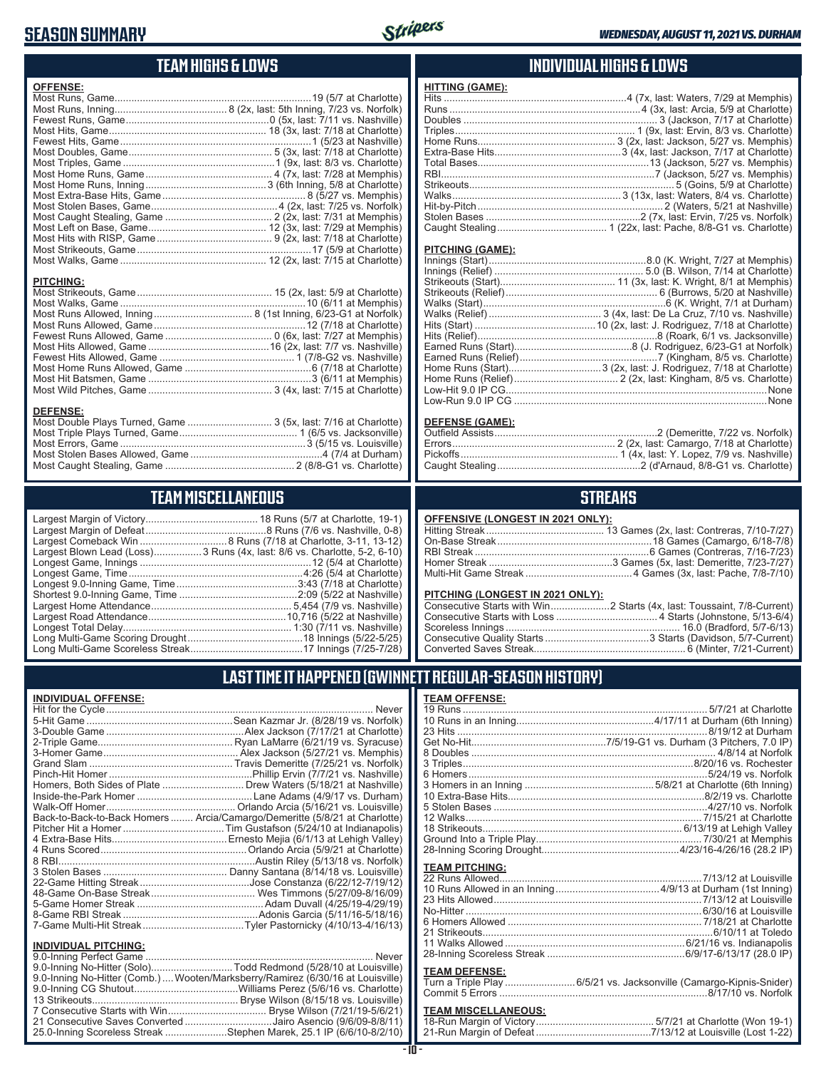### **SEASON SUMMARY**



### **TEAM HIGHS & LOWS**

| <b>OFFENSE:</b>  |  |
|------------------|--|
|                  |  |
|                  |  |
|                  |  |
|                  |  |
|                  |  |
|                  |  |
|                  |  |
|                  |  |
|                  |  |
|                  |  |
|                  |  |
|                  |  |
|                  |  |
|                  |  |
|                  |  |
|                  |  |
|                  |  |
| <b>PITCHING:</b> |  |
|                  |  |
|                  |  |
|                  |  |
|                  |  |
|                  |  |
|                  |  |
|                  |  |
|                  |  |
|                  |  |

#### **DEFENSE:**

| Most Double Plays Turned, Game  3 (5x, last: 7/16 at Charlotte) |  |
|-----------------------------------------------------------------|--|
|                                                                 |  |
|                                                                 |  |
|                                                                 |  |
|                                                                 |  |
|                                                                 |  |

Most Wild Pitches, Game ............................................ 3 (4x, last: 7/15 at Charlotte)

### **TEAM MISCELLANEOUS**

| Largest Blown Lead (Loss)3 Runs (4x, last: 8/6 vs. Charlotte, 5-2, 6-10) |  |
|--------------------------------------------------------------------------|--|
|                                                                          |  |
|                                                                          |  |
| Longest 9.0-Inning Game, Time……………………………………3:43 (7/18 at Charlotte)      |  |
|                                                                          |  |
|                                                                          |  |
|                                                                          |  |
|                                                                          |  |
|                                                                          |  |
|                                                                          |  |
|                                                                          |  |

#### **INDIVIDUAL HIGHS & LOWS**

| <b>HITTING (GAME):</b> |  |
|------------------------|--|
|                        |  |
|                        |  |
|                        |  |
|                        |  |
|                        |  |
|                        |  |
|                        |  |
|                        |  |
|                        |  |
|                        |  |
|                        |  |
|                        |  |
|                        |  |
|                        |  |

#### **PITCHING (GAME):**

#### **DEFENSE (GAME):**

#### **STREAKS**

#### **OFFENSIVE (LONGEST IN 2021 ONLY):**

#### **PITCHING (LONGEST IN 2021 ONLY):**

### **LAST TIME IT HAPPENED (GWINNETT REGULAR-SEASON HISTORY)**

#### **INDIVIDUAL OFFENSE:**

|                             | Homers, Both Sides of Plate  Drew Waters (5/18/21 at Nashville)            |
|-----------------------------|----------------------------------------------------------------------------|
|                             |                                                                            |
|                             |                                                                            |
|                             | Back-to-Back-to-Back Homers  Arcia/Camargo/Demeritte (5/8/21 at Charlotte) |
|                             |                                                                            |
|                             |                                                                            |
|                             |                                                                            |
|                             |                                                                            |
|                             |                                                                            |
|                             |                                                                            |
|                             |                                                                            |
|                             |                                                                            |
|                             |                                                                            |
|                             |                                                                            |
| <b>INDIVIDUAL PITCHING:</b> |                                                                            |
|                             |                                                                            |

| 9.0-Inning No-Hitter (Solo)Todd Redmond (5/28/10 at Louisville)                |  |
|--------------------------------------------------------------------------------|--|
| 9.0-Inning No-Hitter (Comb.) Wooten/Marksberry/Ramirez (6/30/16 at Louisville) |  |
|                                                                                |  |
|                                                                                |  |
|                                                                                |  |
| 21 Consecutive Saves Converted Jairo Asencio (9/6/09-8/8/11)                   |  |
| 25.0-Inning Scoreless Streak Stephen Marek, 25.1 IP (6/6/10-8/2/10)            |  |
|                                                                                |  |

#### **- 10 -**

| <b>TEAM OFFENSE:</b>  |                                                       |
|-----------------------|-------------------------------------------------------|
|                       |                                                       |
|                       |                                                       |
|                       | 23 Hits …………………………………………………………………………8/19/12 at Durham |
|                       |                                                       |
|                       |                                                       |
|                       |                                                       |
|                       |                                                       |
|                       |                                                       |
|                       |                                                       |
|                       |                                                       |
|                       |                                                       |
|                       |                                                       |
|                       |                                                       |
|                       |                                                       |
| <b>TEAM PITCHING:</b> |                                                       |
|                       |                                                       |
|                       |                                                       |
| 23 Hits Allowed       | 7/13/12 at Louisville                                 |

| No-Hitter …………………………………………………………………………………6/30/16 at Louisville |
|----------------------------------------------------------------|
|                                                                |
|                                                                |
|                                                                |
|                                                                |
|                                                                |

#### **TEAM DEFENSE:**

| $1 - 2111 - 2 - 1 - 112 - 1$ |                                                                    |  |
|------------------------------|--------------------------------------------------------------------|--|
|                              | Turn a Triple Play 6/5/21 vs. Jacksonville (Camargo-Kipnis-Snider) |  |
|                              |                                                                    |  |

| <b>TEAM MISCELLANEOUS:</b> |  |
|----------------------------|--|
|                            |  |
|                            |  |

| νι ιαι ινιισι | é |
|---------------|---|
| iyracuse)     | ( |
| 1amnhic)      | I |